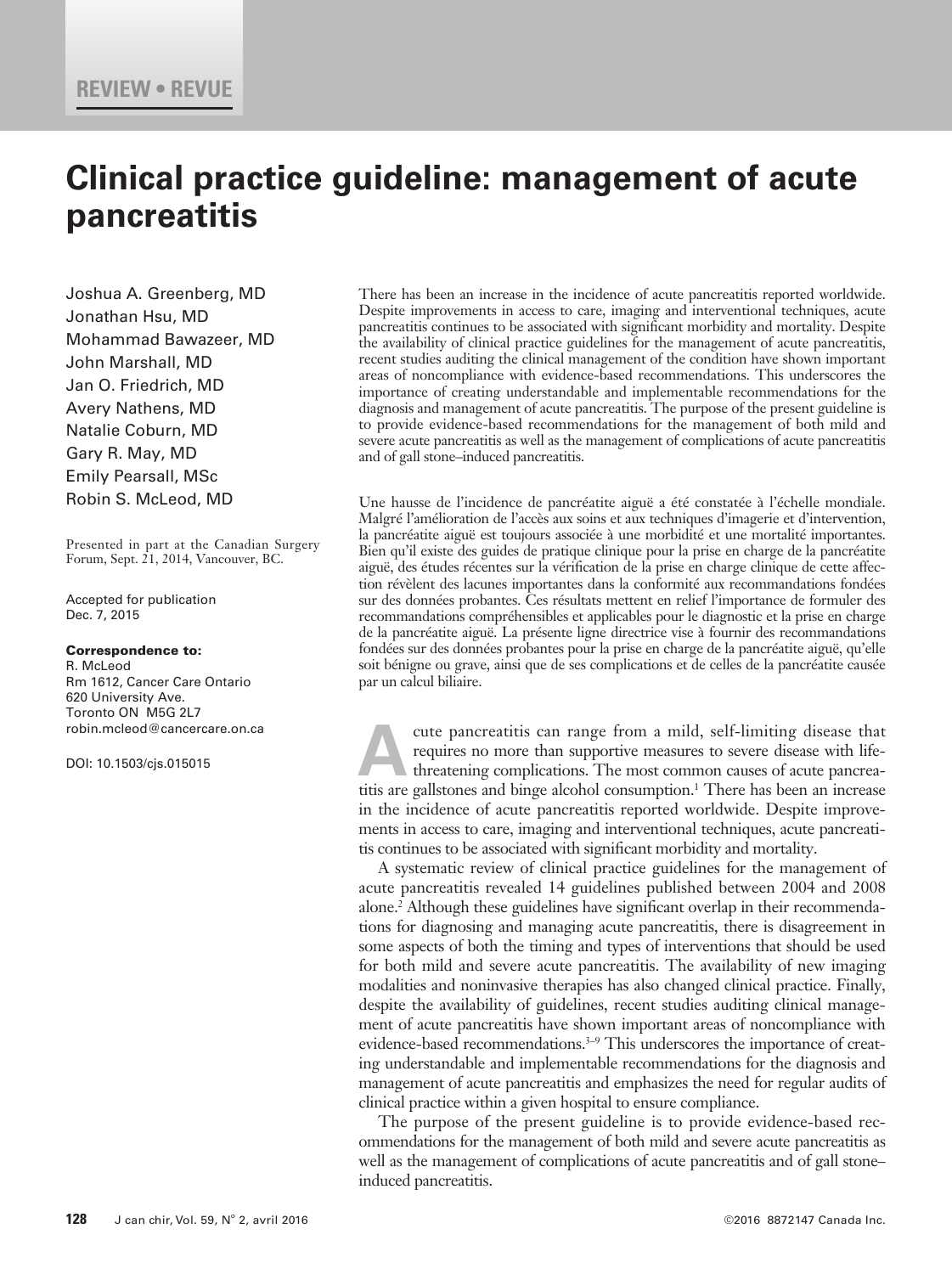# **Clinical practice guideline: management of acute pancreatitis**

Joshua A. Greenberg, MD Jonathan Hsu, MD Mohammad Bawazeer, MD John Marshall, MD Jan O. Friedrich, MD Avery Nathens, MD Natalie Coburn, MD Gary R. May, MD Emily Pearsall, MSc Robin S. McLeod, MD

Presented in part at the Canadian Surgery Forum, Sept. 21, 2014, Vancouver, BC.

Accepted for publication Dec. 7, 2015

### Correspondence to:

R. McLeod Rm 1612, Cancer Care Ontario 620 University Ave. Toronto ON M5G 2L7 robin.mcleod@cancercare.on.ca

DOI: 10.1503/cjs.015015

There has been an increase in the incidence of acute pancreatitis reported worldwide. Despite improvements in access to care, imaging and interventional techniques, acute pancreatitis continues to be associated with significant morbidity and mortality. Despite the availability of clinical practice guidelines for the management of acute pancreatitis, recent studies auditing the clinical management of the condition have shown important areas of noncompliance with evidence-based recommendations. This underscores the importance of creating understandable and implementable recommendations for the diagnosis and management of acute pancreatitis. The purpose of the present guideline is to provide evidence-based recommendations for the management of both mild and severe acute pancreatitis as well as the management of complications of acute pancreatitis and of gall stone–induced pancreatitis.

Une hausse de l'incidence de pancréatite aiguë a été constatée à l'échelle mondiale. Malgré l'amélioration de l'accès aux soins et aux techniques d'imagerie et d'intervention, la pancréatite aiguë est toujours associée à une morbidité et une mortalité importantes. Bien qu'il existe des guides de pratique clinique pour la prise en charge de la pancréatite aiguë, des études récentes sur la vérification de la prise en charge clinique de cette affection révèlent des lacunes importantes dans la conformité aux recommandations fondées sur des données probantes. Ces résultats mettent en relief l'importance de formuler des recommandations compréhensibles et applicables pour le diagnostic et la prise en charge de la pancréatite aiguë. La présente ligne directrice vise à fournir des recommandations fondées sur des données probantes pour la prise en charge de la pancréatite aiguë, qu'elle soit bénigne ou grave, ainsi que de ses complications et de celles de la pancréatite causée par un calcul biliaire.

cute pancreatitis can range from a mild, self-limiting disease that requires no more than supportive measures to severe disease with lifethreatening complications. The most common causes of acute pancreatitis are gallstones and binge alcohol consumption.<sup>1</sup> There has been an increase in the incidence of acute pancreatitis reported worldwide. Despite improvements in access to care, imaging and interventional techniques, acute pancreatitis continues to be associated with significant morbidity and mortality.

A systematic review of clinical practice guidelines for the management of acute pancreatitis revealed 14 guidelines published between 2004 and 2008 alone.2 Although these guidelines have significant overlap in their recommendations for diagnosing and managing acute pancreatitis, there is disagreement in some aspects of both the timing and types of interventions that should be used for both mild and severe acute pancreatitis. The availability of new imaging modalities and noninvasive therapies has also changed clinical practice. Finally, despite the availability of guidelines, recent studies auditing clinical management of acute pancreatitis have shown important areas of noncompliance with evidence-based recommendations.<sup>3-9</sup> This underscores the importance of creating understandable and implementable recommendations for the diagnosis and management of acute pancreatitis and emphasizes the need for regular audits of clinical practice within a given hospital to ensure compliance.

The purpose of the present guideline is to provide evidence-based recommendations for the management of both mild and severe acute pancreatitis as well as the management of complications of acute pancreatitis and of gall stone– induced pancreatitis.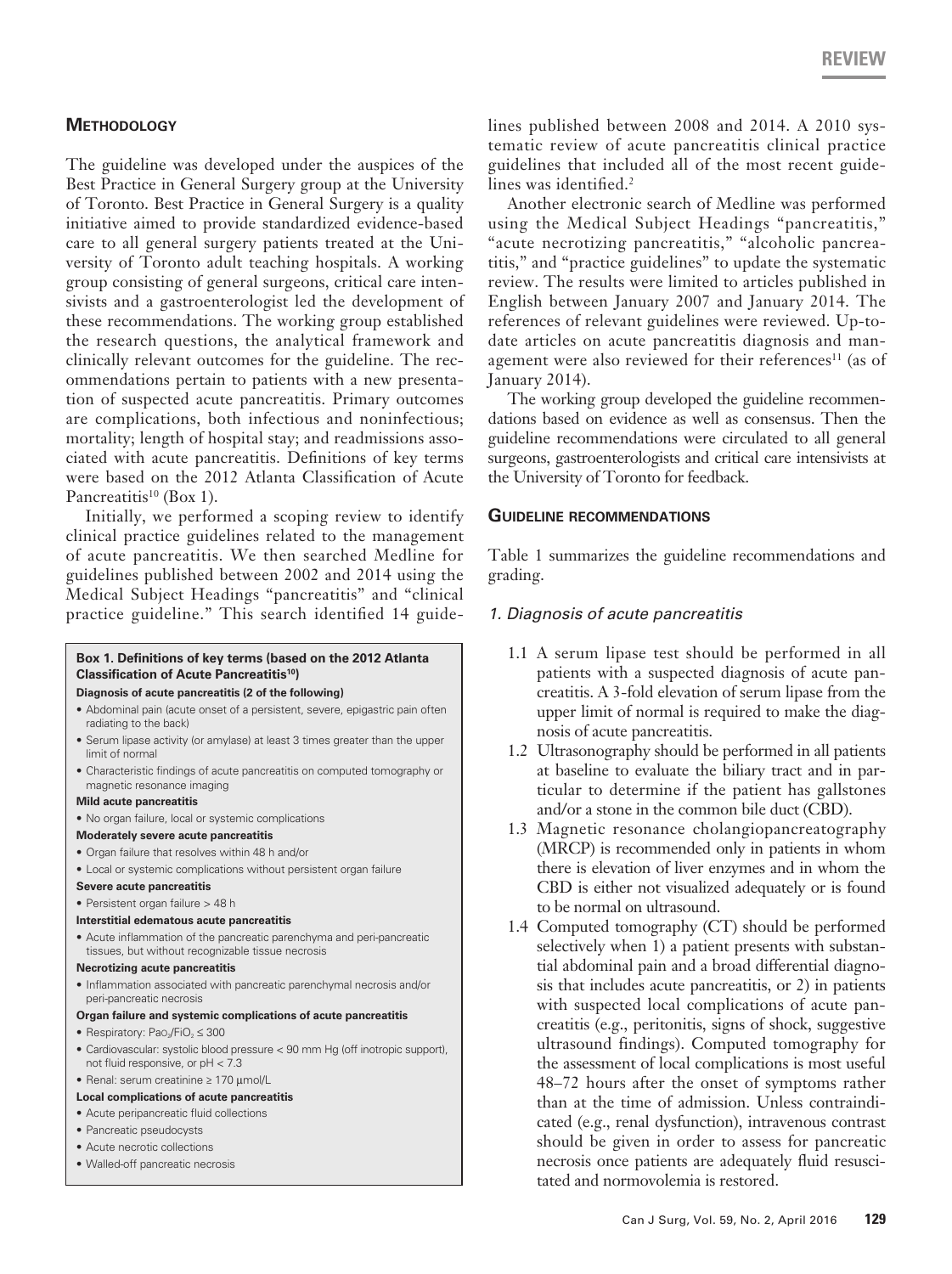# **Methodology**

The guideline was developed under the auspices of the Best Practice in General Surgery group at the University of Toronto. Best Practice in General Surgery is a quality initiative aimed to provide standardized evidence-based care to all general surgery patients treated at the University of Toronto adult teaching hospitals. A working group consisting of general surgeons, critical care intensivists and a gastroenterologist led the development of these recommendations. The working group established the research questions, the analytical framework and clinically relevant outcomes for the guideline. The recommendations pertain to patients with a new presentation of suspected acute pancreatitis. Primary outcomes are complications, both infectious and noninfectious; mortality; length of hospital stay; and readmissions associated with acute pancreatitis. Definitions of key terms were based on the 2012 Atlanta Classification of Acute Pancreatitis<sup>10</sup> (Box 1).

Initially, we performed a scoping review to identify clinical practice guidelines related to the management of acute pancreatitis. We then searched Medline for guidelines published between 2002 and 2014 using the Medical Subject Headings "pancreatitis" and "clinical practice guideline." This search identified 14 guide-

### **Box 1. Definitions of key terms (based on the 2012 Atlanta Classification of Acute Pancreatitis10)**

#### **Diagnosis of acute pancreatitis (2 of the following)**

- Abdominal pain (acute onset of a persistent, severe, epigastric pain often radiating to the back)
- Serum lipase activity (or amylase) at least 3 times greater than the upper limit of normal
- Characteristic findings of acute pancreatitis on computed tomography or magnetic resonance imaging

#### **Mild acute pancreatitis**

• No organ failure, local or systemic complications

### **Moderately severe acute pancreatitis**

- Organ failure that resolves within 48 h and/or
- Local or systemic complications without persistent organ failure

#### **Severe acute pancreatitis**

- Persistent organ failure > 48 h
- **Interstitial edematous acute pancreatitis**
- Acute inflammation of the pancreatic parenchyma and peri-pancreatic tissues, but without recognizable tissue necrosis

### **Necrotizing acute pancreatitis**

• Inflammation associated with pancreatic parenchymal necrosis and/or peri-pancreatic necrosis

### **Organ failure and systemic complications of acute pancreatitis**

- Respiratory: Pao<sub>2</sub>/FiO<sub>2</sub>  $\leq$  300
- Cardiovascular: systolic blood pressure < 90 mm Hg (off inotropic support), not fluid responsive, or pH < 7.3
- Renal: serum creatinine ≥ 170 µmol/L

### **Local complications of acute pancreatitis**

- Acute peripancreatic fluid collections
- Pancreatic pseudocysts
- Acute necrotic collections
- Walled-off pancreatic necrosis

lines published between 2008 and 2014. A 2010 systematic review of acute pancreatitis clinical practice guidelines that included all of the most recent guidelines was identified.<sup>2</sup>

Another electronic search of Medline was performed using the Medical Subject Headings "pancreatitis," "acute necrotizing pancreatitis," "alcoholic pancreatitis," and "practice guidelines" to update the systematic review. The results were limited to articles published in English between January 2007 and January 2014. The references of relevant guidelines were reviewed. Up-todate articles on acute pancreatitis diagnosis and management were also reviewed for their references<sup>11</sup> (as of January 2014).

The working group developed the guideline recommendations based on evidence as well as consensus. Then the guideline recommendations were circulated to all general surgeons, gastroenterologists and critical care intensivists at the University of Toronto for feedback.

### **Guideline recommendations**

Table 1 summarizes the guideline recommendations and grading.

### *1. Diagnosis of acute pancreatitis*

- 1.1 A serum lipase test should be performed in all patients with a suspected diagnosis of acute pancreatitis. A 3-fold elevation of serum lipase from the upper limit of normal is required to make the diagnosis of acute pancreatitis.
- 1.2 Ultrasonography should be performed in all patients at baseline to evaluate the biliary tract and in particular to determine if the patient has gallstones and/or a stone in the common bile duct (CBD).
- 1.3 Magnetic resonance cholangiopancreatography (MRCP) is recommended only in patients in whom there is elevation of liver enzymes and in whom the CBD is either not visualized adequately or is found to be normal on ultrasound.
- 1.4 Computed tomography (CT) should be performed selectively when 1) a patient presents with substantial abdominal pain and a broad differential diagnosis that includes acute pancreatitis, or 2) in patients with suspected local complications of acute pancreatitis (e.g., peritonitis, signs of shock, suggestive ultrasound findings). Computed tomography for the assessment of local complications is most useful 48–72 hours after the onset of symptoms rather than at the time of admission. Unless contraindicated (e.g., renal dysfunction), intravenous contrast should be given in order to assess for pancreatic necrosis once patients are adequately fluid resuscitated and normovolemia is restored.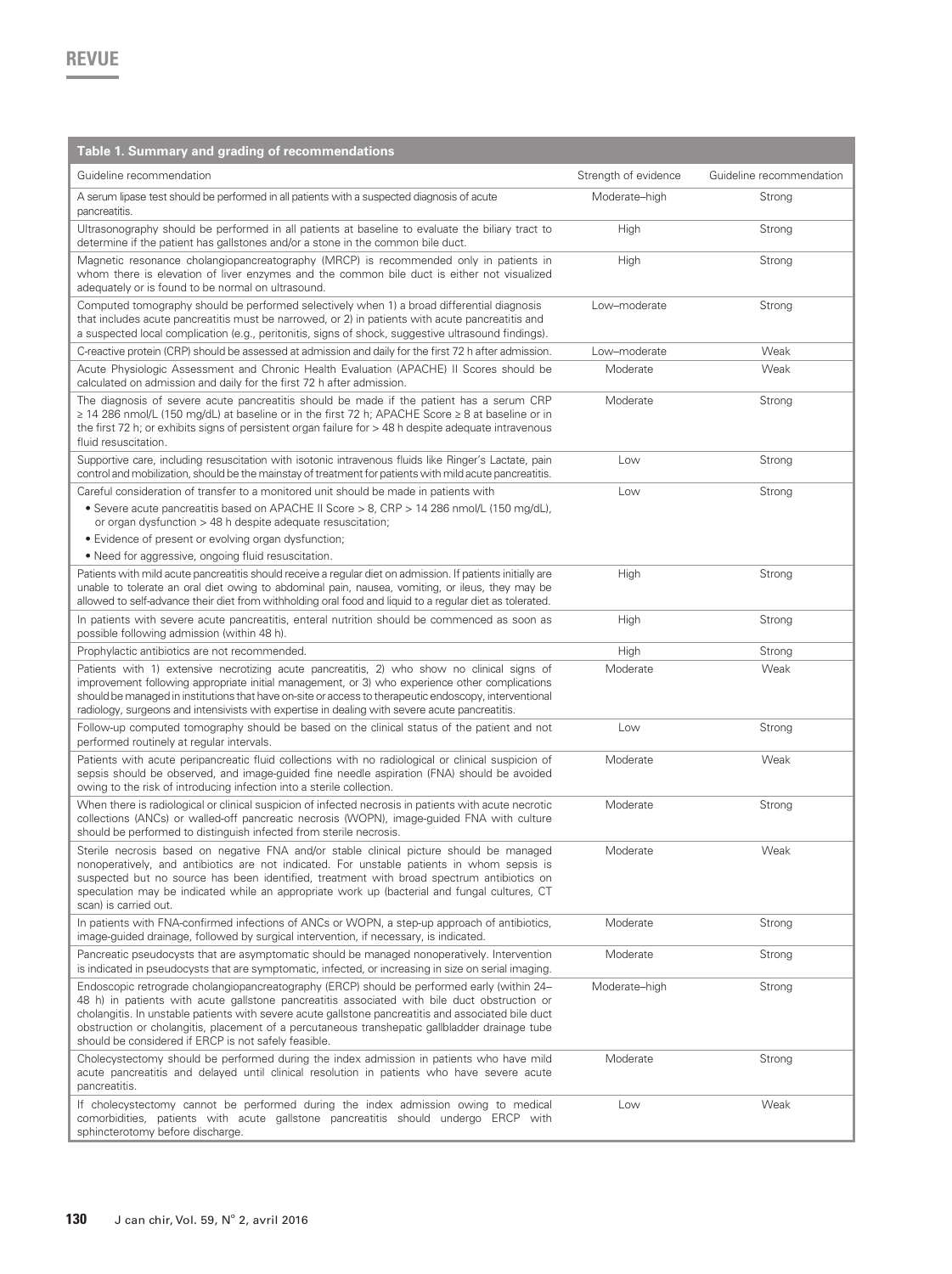| Table 1. Summary and grading of recommendations                                                                                                                                                                                                                                                                                                                                                                                                              |                      |                          |
|--------------------------------------------------------------------------------------------------------------------------------------------------------------------------------------------------------------------------------------------------------------------------------------------------------------------------------------------------------------------------------------------------------------------------------------------------------------|----------------------|--------------------------|
| Guideline recommendation                                                                                                                                                                                                                                                                                                                                                                                                                                     | Strength of evidence | Guideline recommendation |
| A serum lipase test should be performed in all patients with a suspected diagnosis of acute<br>pancreatitis.                                                                                                                                                                                                                                                                                                                                                 | Moderate-high        | Strona                   |
| Ultrasonography should be performed in all patients at baseline to evaluate the biliary tract to<br>determine if the patient has gallstones and/or a stone in the common bile duct.                                                                                                                                                                                                                                                                          | High                 | Strong                   |
| Magnetic resonance cholangiopancreatography (MRCP) is recommended only in patients in<br>whom there is elevation of liver enzymes and the common bile duct is either not visualized<br>adequately or is found to be normal on ultrasound.                                                                                                                                                                                                                    | High                 | Strong                   |
| Computed tomography should be performed selectively when 1) a broad differential diagnosis<br>that includes acute pancreatitis must be narrowed, or 2) in patients with acute pancreatitis and<br>a suspected local complication (e.g., peritonitis, signs of shock, suggestive ultrasound findings).                                                                                                                                                        | Low-moderate         | Strong                   |
| C-reactive protein (CRP) should be assessed at admission and daily for the first 72 h after admission.                                                                                                                                                                                                                                                                                                                                                       | Low-moderate         | Weak                     |
| Acute Physiologic Assessment and Chronic Health Evaluation (APACHE) II Scores should be<br>calculated on admission and daily for the first 72 h after admission.                                                                                                                                                                                                                                                                                             | Moderate             | Weak                     |
| The diagnosis of severe acute pancreatitis should be made if the patient has a serum CRP<br>$\geq$ 14 286 nmol/L (150 mg/dL) at baseline or in the first 72 h; APACHE Score $\geq$ 8 at baseline or in<br>the first 72 h; or exhibits signs of persistent organ failure for > 48 h despite adequate intravenous<br>fluid resuscitation.                                                                                                                      | Moderate             | Strong                   |
| Supportive care, including resuscitation with isotonic intravenous fluids like Ringer's Lactate, pain<br>control and mobilization, should be the mainstay of treatment for patients with mild acute pancreatitis.                                                                                                                                                                                                                                            | Low                  | Strong                   |
| Careful consideration of transfer to a monitored unit should be made in patients with<br>• Severe acute pancreatitis based on APACHE II Score > 8, CRP > 14 286 nmol/L (150 mg/dL),<br>or organ dysfunction > 48 h despite adequate resuscitation;<br>• Evidence of present or evolving organ dysfunction;                                                                                                                                                   | Low                  | Strong                   |
| • Need for aggressive, ongoing fluid resuscitation.                                                                                                                                                                                                                                                                                                                                                                                                          |                      |                          |
| Patients with mild acute pancreatitis should receive a regular diet on admission. If patients initially are<br>unable to tolerate an oral diet owing to abdominal pain, nausea, vomiting, or ileus, they may be<br>allowed to self-advance their diet from withholding oral food and liquid to a regular diet as tolerated.                                                                                                                                  | High                 | Strong                   |
| In patients with severe acute pancreatitis, enteral nutrition should be commenced as soon as<br>possible following admission (within 48 h).                                                                                                                                                                                                                                                                                                                  | High                 | Strong                   |
| Prophylactic antibiotics are not recommended.                                                                                                                                                                                                                                                                                                                                                                                                                | High                 | Strong                   |
| Patients with 1) extensive necrotizing acute pancreatitis, 2) who show no clinical signs of<br>improvement following appropriate initial management, or 3) who experience other complications<br>should be managed in institutions that have on-site or access to therapeutic endoscopy, interventional<br>radiology, surgeons and intensivists with expertise in dealing with severe acute pancreatitis.                                                    | Moderate             | Weak                     |
| Follow-up computed tomography should be based on the clinical status of the patient and not<br>performed routinely at regular intervals.                                                                                                                                                                                                                                                                                                                     | Low                  | Strong                   |
| Patients with acute peripancreatic fluid collections with no radiological or clinical suspicion of<br>sepsis should be observed, and image-guided fine needle aspiration (FNA) should be avoided<br>owing to the risk of introducing infection into a sterile collection.                                                                                                                                                                                    | Moderate             | Weak                     |
| When there is radiological or clinical suspicion of infected necrosis in patients with acute necrotic<br>collections (ANCs) or walled-off pancreatic necrosis (WOPN), image-quided FNA with culture<br>should be performed to distinguish infected from sterile necrosis.                                                                                                                                                                                    | Moderate             | Strong                   |
| Sterile necrosis based on negative FNA and/or stable clinical picture should be managed<br>nonoperatively, and antibiotics are not indicated. For unstable patients in whom sepsis is<br>suspected but no source has been identified, treatment with broad spectrum antibiotics on<br>speculation may be indicated while an appropriate work up (bacterial and fungal cultures, CT<br>scan) is carried out.                                                  | Moderate             | Weak                     |
| In patients with FNA-confirmed infections of ANCs or WOPN, a step-up approach of antibiotics,<br>image-guided drainage, followed by surgical intervention, if necessary, is indicated.                                                                                                                                                                                                                                                                       | Moderate             | Strong                   |
| Pancreatic pseudocysts that are asymptomatic should be managed nonoperatively. Intervention<br>is indicated in pseudocysts that are symptomatic, infected, or increasing in size on serial imaging.                                                                                                                                                                                                                                                          | Moderate             | Strong                   |
| Endoscopic retrograde cholangiopancreatography (ERCP) should be performed early (within 24–<br>48 h) in patients with acute gallstone pancreatitis associated with bile duct obstruction or<br>cholangitis. In unstable patients with severe acute gallstone pancreatitis and associated bile duct<br>obstruction or cholangitis, placement of a percutaneous transhepatic gallbladder drainage tube<br>should be considered if ERCP is not safely feasible. | Moderate-high        | Strong                   |
| Cholecystectomy should be performed during the index admission in patients who have mild<br>acute pancreatitis and delayed until clinical resolution in patients who have severe acute<br>pancreatitis.                                                                                                                                                                                                                                                      | Moderate             | Strong                   |
| If cholecystectomy cannot be performed during the index admission owing to medical<br>comorbidities, patients with acute gallstone pancreatitis should undergo ERCP with<br>sphincterotomy before discharge.                                                                                                                                                                                                                                                 | Low                  | Weak                     |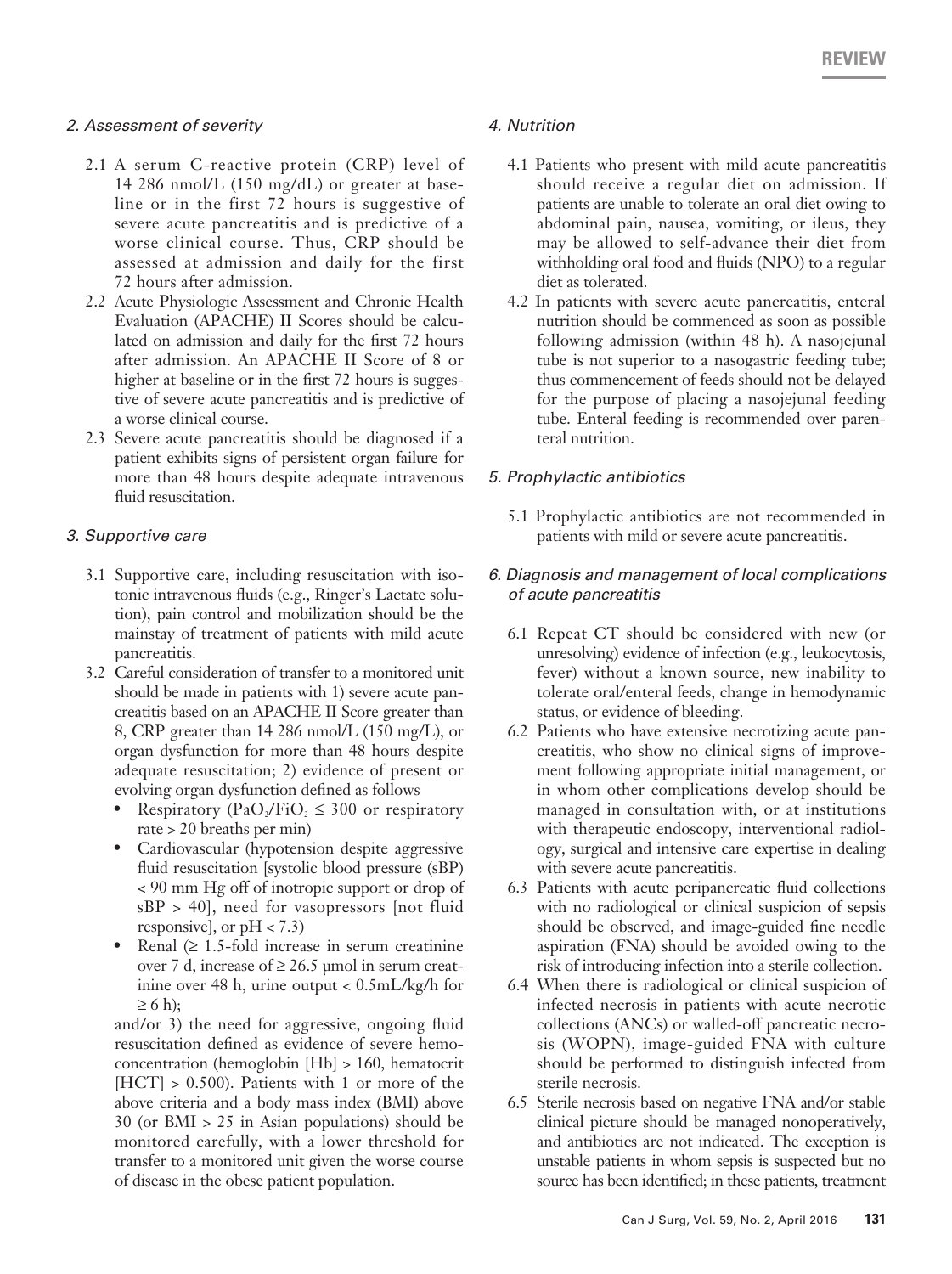# *2. Assessment of severity*

- 2.1 A serum C-reactive protein (CRP) level of 14 286 nmol/L (150 mg/dL) or greater at baseline or in the first 72 hours is suggestive of severe acute pancreatitis and is predictive of a worse clinical course. Thus, CRP should be assessed at admission and daily for the first 72 hours after admission.
- 2.2 Acute Physiologic Assessment and Chronic Health Evaluation (APACHE) II Scores should be calculated on admission and daily for the first 72 hours after admission. An APACHE II Score of 8 or higher at baseline or in the first 72 hours is suggestive of severe acute pancreatitis and is predictive of a worse clinical course.
- 2.3 Severe acute pancreatitis should be diagnosed if a patient exhibits signs of persistent organ failure for more than 48 hours despite adequate intravenous fluid resuscitation.

# *3. Supportive care*

- 3.1 Supportive care, including resuscitation with isotonic intravenous fluids (e.g., Ringer's Lactate solution), pain control and mobilization should be the mainstay of treatment of patients with mild acute pancreatitis.
- 3.2 Careful consideration of transfer to a monitored unit should be made in patients with 1) severe acute pancreatitis based on an APACHE II Score greater than 8, CRP greater than 14 286 nmol/L (150 mg/L), or organ dysfunction for more than 48 hours despite adequate resuscitation; 2) evidence of present or evolving organ dysfunction defined as follows
	- Respiratory (PaO<sub>2</sub>/FiO<sub>2</sub>  $\leq$  300 or respiratory rate > 20 breaths per min)
	- Cardiovascular (hypotension despite aggressive fluid resuscitation [systolic blood pressure (sBP) < 90 mm Hg off of inotropic support or drop of sBP > 40], need for vasopressors [not fluid responsive], or  $pH < 7.3$ )
	- Renal  $(≥ 1.5$ -fold increase in serum creatinine over 7 d, increase of  $\geq 26.5$  µmol in serum creatinine over 48 h, urine output < 0.5mL/kg/h for  $\geq 6$  h);

and/or 3) the need for aggressive, ongoing fluid resuscitation defined as evidence of severe hemoconcentration (hemoglobin [Hb] > 160, hematocrit  $[HCT] > 0.500$ . Patients with 1 or more of the above criteria and a body mass index (BMI) above 30 (or BMI > 25 in Asian populations) should be monitored carefully, with a lower threshold for transfer to a monitored unit given the worse course of disease in the obese patient population.

# *4. Nutrition*

- 4.1 Patients who present with mild acute pancreatitis should receive a regular diet on admission. If patients are unable to tolerate an oral diet owing to abdominal pain, nausea, vomiting, or ileus, they may be allowed to self-advance their diet from withholding oral food and fluids (NPO) to a regular diet as tolerated.
- 4.2 In patients with severe acute pancreatitis, enteral nutrition should be commenced as soon as possible following admission (within 48 h). A nasojejunal tube is not superior to a nasogastric feeding tube; thus commencement of feeds should not be delayed for the purpose of placing a nasojejunal feeding tube. Enteral feeding is recommended over parenteral nutrition.

# *5. Prophylactic antibiotics*

5.1 Prophylactic antibiotics are not recommended in patients with mild or severe acute pancreatitis.

# *6. Diagnosis and management of local complications of acute pancreatitis*

- 6.1 Repeat CT should be considered with new (or unresolving) evidence of infection (e.g., leukocytosis, fever) without a known source, new inability to tolerate oral/enteral feeds, change in hemodynamic status, or evidence of bleeding.
- 6.2 Patients who have extensive necrotizing acute pancreatitis, who show no clinical signs of improvement following appropriate initial management, or in whom other complications develop should be managed in consultation with, or at institutions with therapeutic endoscopy, interventional radiology, surgical and intensive care expertise in dealing with severe acute pancreatitis.
- 6.3 Patients with acute peripancreatic fluid collections with no radiological or clinical suspicion of sepsis should be observed, and image-guided fine needle aspiration (FNA) should be avoided owing to the risk of introducing infection into a sterile collection.
- 6.4 When there is radiological or clinical suspicion of infected necrosis in patients with acute necrotic collections (ANCs) or walled-off pancreatic necrosis (WOPN), image-guided FNA with culture should be performed to distinguish infected from sterile necrosis.
- 6.5 Sterile necrosis based on negative FNA and/or stable clinical picture should be managed nonoperatively, and antibiotics are not indicated. The exception is unstable patients in whom sepsis is suspected but no source has been identified; in these patients, treatment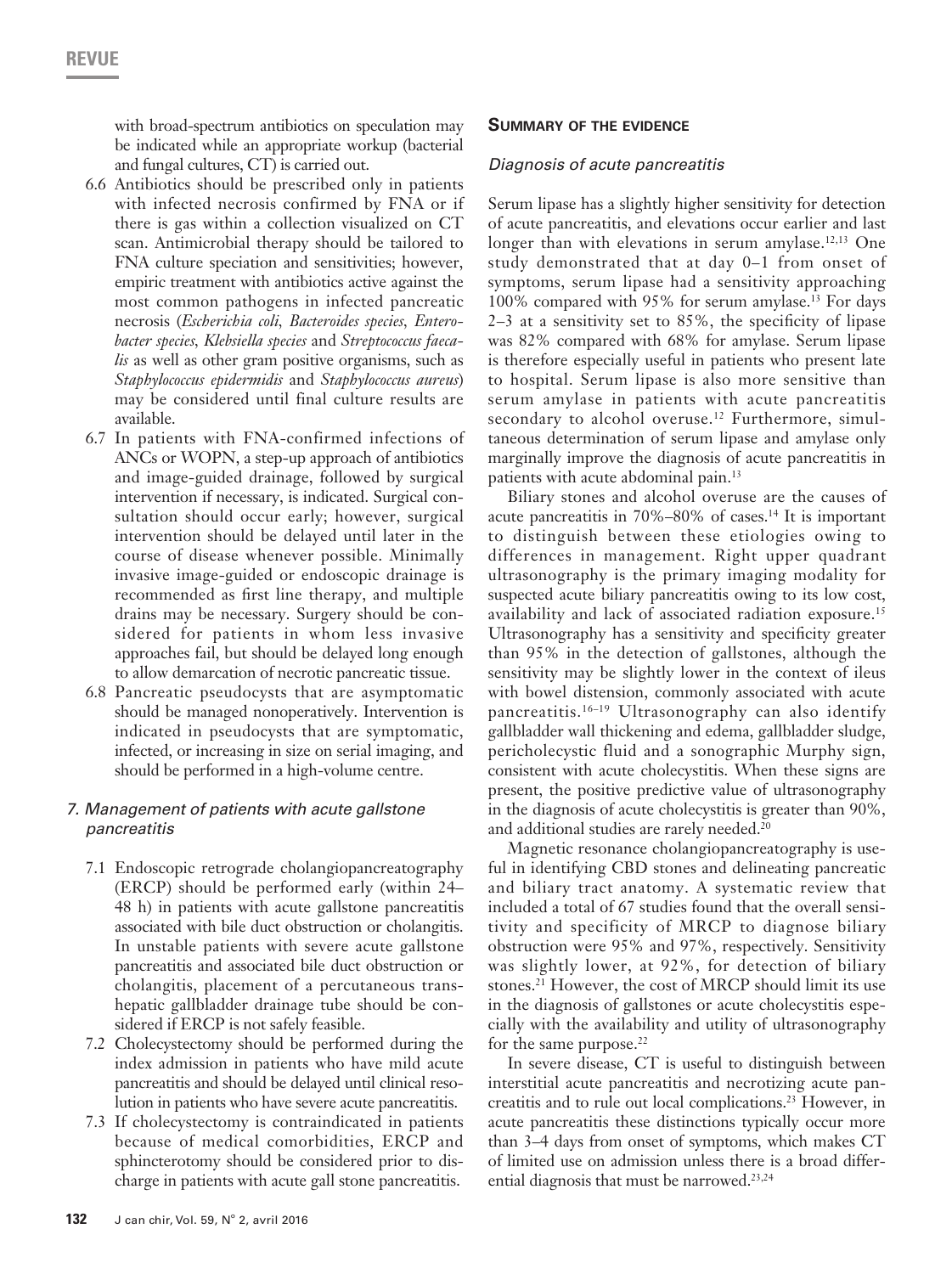with broad-spectrum antibiotics on speculation may be indicated while an appropriate workup (bacterial and fungal cultures, CT) is carried out.

- 6.6 Antibiotics should be prescribed only in patients with infected necrosis confirmed by FNA or if there is gas within a collection visualized on CT scan. Antimicrobial therapy should be tailored to FNA culture speciation and sensitivities; however, empiric treatment with antibiotics active against the most common pathogens in infected pancreatic necrosis (*Escherichia coli, Bacteroides species, Enterobacter species, Klebsiella species* and *Streptococcus faecalis* as well as other gram positive organisms, such as *Staphylococcus epidermidis* and *Staphylococcus aureus*) may be considered until final culture results are available.
- 6.7 In patients with FNA-confirmed infections of ANCs or WOPN, a step-up approach of antibiotics and image-guided drainage, followed by surgical intervention if necessary, is indicated. Surgical consultation should occur early; however, surgical intervention should be delayed until later in the course of disease whenever possible. Minimally invasive image-guided or endoscopic drainage is recommended as first line therapy, and multiple drains may be necessary. Surgery should be considered for patients in whom less invasive approaches fail, but should be delayed long enough to allow demarcation of necrotic pancreatic tissue.
- 6.8 Pancreatic pseudocysts that are asymptomatic should be managed nonoperatively. Intervention is indicated in pseudocysts that are symptomatic, infected, or increasing in size on serial imaging, and should be performed in a high-volume centre.

### *7. Management of patients with acute gallstone pancreatitis*

- 7.1 Endoscopic retrograde cholangiopancreatography (ERCP) should be performed early (within 24– 48 h) in patients with acute gallstone pancreatitis associated with bile duct obstruction or cholangitis. In unstable patients with severe acute gallstone pancreatitis and associated bile duct obstruction or cholangitis, placement of a percutaneous transhepatic gallbladder drainage tube should be considered if ERCP is not safely feasible.
- 7.2 Cholecystectomy should be performed during the index admission in patients who have mild acute pancreatitis and should be delayed until clinical resolution in patients who have severe acute pancreatitis.
- 7.3 If cholecystectomy is contraindicated in patients because of medical comorbidities, ERCP and sphincterotomy should be considered prior to discharge in patients with acute gall stone pancreatitis.

### **Summary of the evidence**

### *Diagnosis of acute pancreatitis*

Serum lipase has a slightly higher sensitivity for detection of acute pancreatitis, and elevations occur earlier and last longer than with elevations in serum amylase.<sup>12,13</sup> One study demonstrated that at day 0–1 from onset of symptoms, serum lipase had a sensitivity approaching 100% compared with 95% for serum amylase.13 For days 2–3 at a sensitivity set to 85%, the specificity of lipase was 82% compared with 68% for amylase. Serum lipase is therefore especially useful in patients who present late to hospital. Serum lipase is also more sensitive than serum amylase in patients with acute pancreatitis secondary to alcohol overuse.<sup>12</sup> Furthermore, simultaneous determination of serum lipase and amylase only marginally improve the diagnosis of acute pancreatitis in patients with acute abdominal pain.<sup>13</sup>

Biliary stones and alcohol overuse are the causes of acute pancreatitis in 70%–80% of cases.14 It is important to distinguish between these etiologies owing to differences in management. Right upper quadrant ultrasonography is the primary imaging modality for suspected acute biliary pancreatitis owing to its low cost, availability and lack of associated radiation exposure.15 Ultrasonography has a sensitivity and specificity greater than 95% in the detection of gallstones, although the sensitivity may be slightly lower in the context of ileus with bowel distension, commonly associated with acute pancreatitis.16–19 Ultrasonography can also identify gallbladder wall thickening and edema, gallbladder sludge, pericholecystic fluid and a sonographic Murphy sign, consistent with acute cholecystitis. When these signs are present, the positive predictive value of ultrasonography in the diagnosis of acute cholecystitis is greater than 90%, and additional studies are rarely needed.<sup>20</sup>

Magnetic resonance cholangiopancreatography is useful in identifying CBD stones and delineating pancreatic and biliary tract anatomy. A systematic review that included a total of 67 studies found that the overall sensitivity and specificity of MRCP to diagnose biliary obstruction were 95% and 97%, respectively. Sensitivity was slightly lower, at 92%, for detection of biliary stones.21 However, the cost of MRCP should limit its use in the diagnosis of gallstones or acute cholecystitis especially with the availability and utility of ultrasonography for the same purpose. $22$ 

In severe disease, CT is useful to distinguish between interstitial acute pancreatitis and necrotizing acute pancreatitis and to rule out local complications.23 However, in acute pancreatitis these distinctions typically occur more than 3–4 days from onset of symptoms, which makes CT of limited use on admission unless there is a broad differential diagnosis that must be narrowed.<sup>23,24</sup>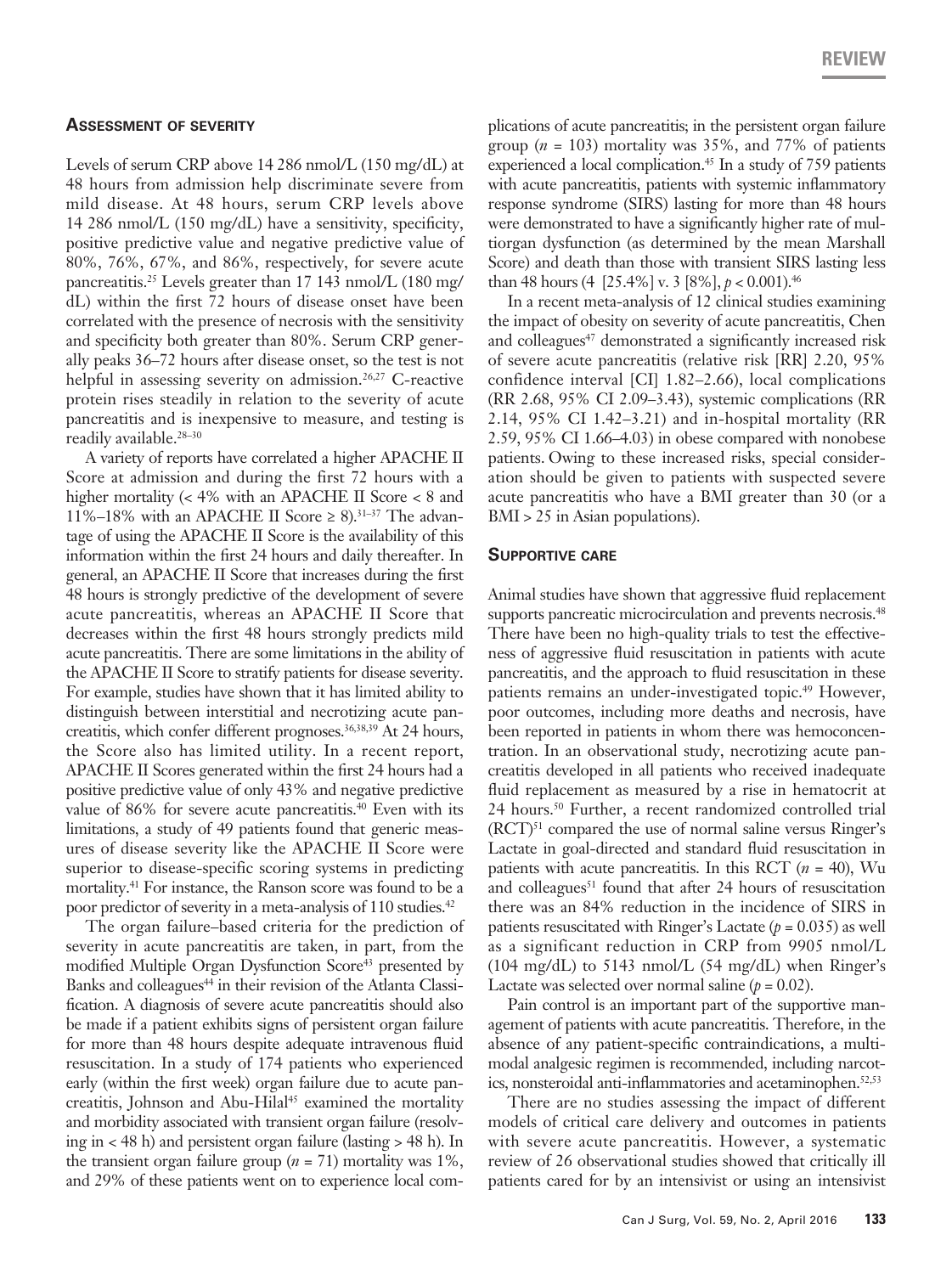### **Assessment of severity**

Levels of serum CRP above 14 286 nmol/L (150 mg/dL) at 48 hours from admission help discriminate severe from mild disease. At 48 hours, serum CRP levels above 14 286 nmol/L (150 mg/dL) have a sensitivity, specificity, positive predictive value and negative predictive value of 80%, 76%, 67%, and 86%, respectively, for severe acute pancreatitis.25 Levels greater than 17 143 nmol/L (180 mg/ dL) within the first 72 hours of disease onset have been correlated with the presence of necrosis with the sensitivity and specificity both greater than 80%. Serum CRP generally peaks 36–72 hours after disease onset, so the test is not helpful in assessing severity on admission.<sup>26,27</sup> C-reactive protein rises steadily in relation to the severity of acute pancreatitis and is inexpensive to measure, and testing is readily available.28–30

A variety of reports have correlated a higher APACHE II Score at admission and during the first 72 hours with a higher mortality (< 4% with an APACHE II Score < 8 and 11%–18% with an APACHE II Score  $\geq 8$ ).<sup>31–37</sup> The advantage of using the APACHE II Score is the availability of this information within the first 24 hours and daily thereafter. In general, an APACHE II Score that increases during the first 48 hours is strongly predictive of the development of severe acute pancreatitis, whereas an APACHE II Score that decreases within the first 48 hours strongly predicts mild acute pancreatitis. There are some limitations in the ability of the APACHE II Score to stratify patients for disease severity. For example, studies have shown that it has limited ability to distinguish between interstitial and necrotizing acute pancreatitis, which confer different prognoses.<sup>36,38,39</sup> At 24 hours, the Score also has limited utility. In a recent report, APACHE II Scores generated within the first 24 hours had a positive predictive value of only 43% and negative predictive value of 86% for severe acute pancreatitis.<sup>40</sup> Even with its limitations, a study of 49 patients found that generic measures of disease severity like the APACHE II Score were superior to disease-specific scoring systems in predicting mortality.<sup>41</sup> For instance, the Ranson score was found to be a poor predictor of severity in a meta-analysis of 110 studies.<sup>42</sup>

The organ failure–based criteria for the prediction of severity in acute pancreatitis are taken, in part, from the modified Multiple Organ Dysfunction Score<sup>43</sup> presented by Banks and colleagues<sup>44</sup> in their revision of the Atlanta Classification. A diagnosis of severe acute pancreatitis should also be made if a patient exhibits signs of persistent organ failure for more than 48 hours despite adequate intravenous fluid resuscitation. In a study of 174 patients who experienced early (within the first week) organ failure due to acute pancreatitis, Johnson and Abu-Hilal<sup>45</sup> examined the mortality and morbidity associated with transient organ failure (resolving in < 48 h) and persistent organ failure (lasting > 48 h). In the transient organ failure group (*n* = 71) mortality was 1%, and 29% of these patients went on to experience local complications of acute pancreatitis; in the persistent organ failure group ( $n = 103$ ) mortality was 35%, and 77% of patients experienced a local complication.<sup>45</sup> In a study of 759 patients with acute pancreatitis, patients with systemic inflammatory response syndrome (SIRS) lasting for more than 48 hours were demonstrated to have a significantly higher rate of multiorgan dysfunction (as determined by the mean Marshall Score) and death than those with transient SIRS lasting less than 48 hours (4 [25.4%] v. 3 [8%], *p* < 0.001).46

In a recent meta-analysis of 12 clinical studies examining the impact of obesity on severity of acute pancreatitis, Chen and colleagues<sup>47</sup> demonstrated a significantly increased risk of severe acute pancreatitis (relative risk [RR] 2.20, 95% confidence interval [CI] 1.82–2.66), local complications (RR 2.68, 95% CI 2.09–3.43), systemic complications (RR 2.14, 95% CI 1.42–3.21) and in-hospital mortality (RR 2.59, 95% CI 1.66–4.03) in obese compared with nonobese patients. Owing to these increased risks, special consideration should be given to patients with suspected severe acute pancreatitis who have a BMI greater than 30 (or a BMI > 25 in Asian populations).

### **Supportive care**

Animal studies have shown that aggressive fluid replacement supports pancreatic microcirculation and prevents necrosis.<sup>48</sup> There have been no high-quality trials to test the effectiveness of aggressive fluid resuscitation in patients with acute pancreatitis, and the approach to fluid resuscitation in these patients remains an under-investigated topic.<sup>49</sup> However, poor outcomes, including more deaths and necrosis, have been reported in patients in whom there was hemoconcentration. In an observational study, necrotizing acute pancreatitis developed in all patients who received inadequate fluid replacement as measured by a rise in hematocrit at 24 hours.50 Further, a recent randomized controlled trial  $(RCT)^{51}$  compared the use of normal saline versus Ringer's Lactate in goal-directed and standard fluid resuscitation in patients with acute pancreatitis. In this RCT (*n* = 40), Wu and colleagues<sup>51</sup> found that after 24 hours of resuscitation there was an 84% reduction in the incidence of SIRS in patients resuscitated with Ringer's Lactate  $(p = 0.035)$  as well as a significant reduction in CRP from 9905 nmol/L  $(104 \text{ mg/dL})$  to 5143 nmol/L  $(54 \text{ mg/dL})$  when Ringer's Lactate was selected over normal saline  $(p = 0.02)$ .

Pain control is an important part of the supportive management of patients with acute pancreatitis. Therefore, in the absence of any patient-specific contraindications, a multimodal analgesic regimen is recommended, including narcotics, nonsteroidal anti-inflammatories and acetaminophen.<sup>52,53</sup>

There are no studies assessing the impact of different models of critical care delivery and outcomes in patients with severe acute pancreatitis. However, a systematic review of 26 observational studies showed that critically ill patients cared for by an intensivist or using an intensivist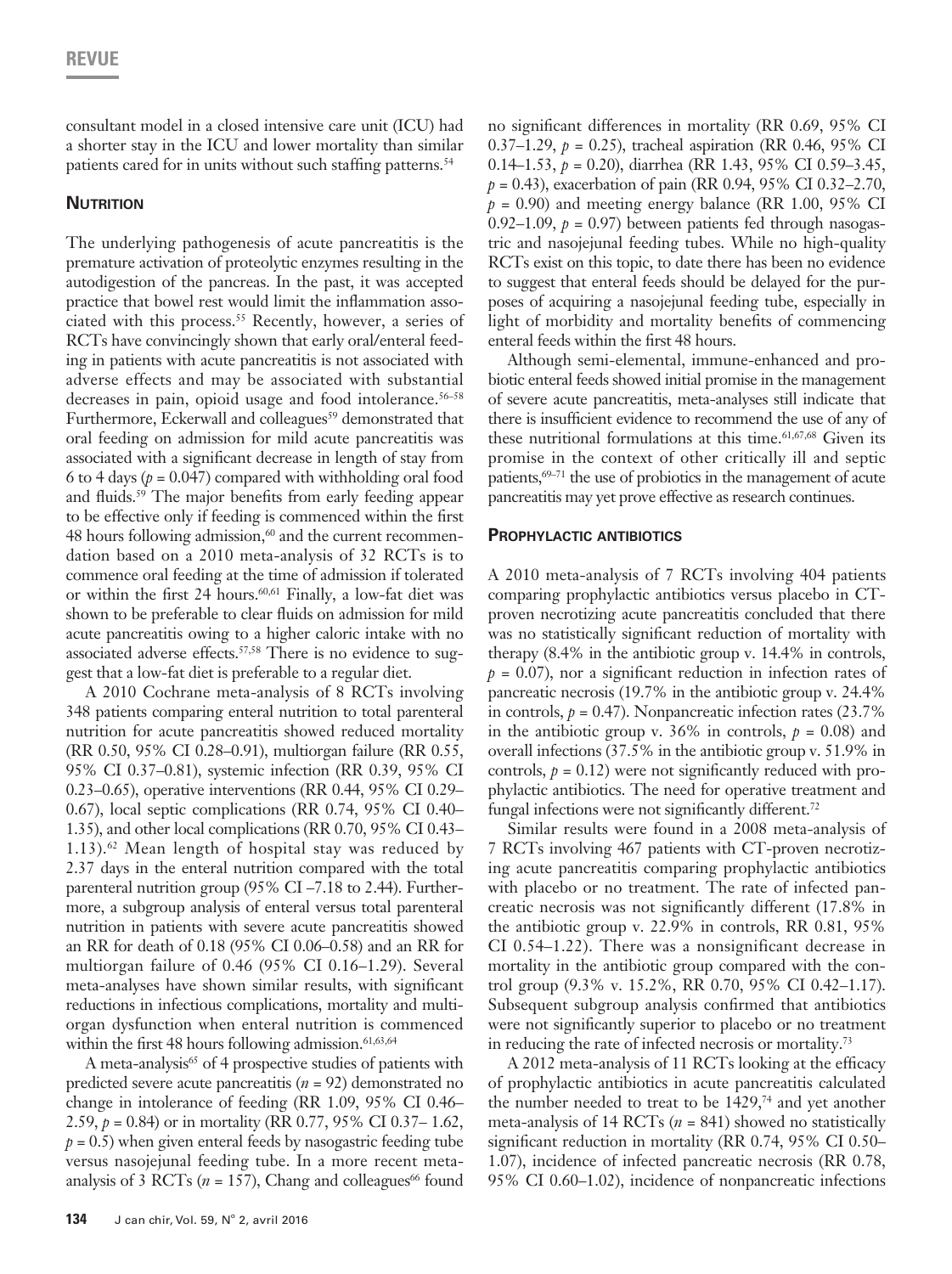consultant model in a closed intensive care unit (ICU) had a shorter stay in the ICU and lower mortality than similar patients cared for in units without such staffing patterns.<sup>54</sup>

### **NUTRITION**

The underlying pathogenesis of acute pancreatitis is the premature activation of proteolytic enzymes resulting in the autodigestion of the pancreas. In the past, it was accepted practice that bowel rest would limit the inflammation associated with this process.<sup>55</sup> Recently, however, a series of RCTs have convincingly shown that early oral/enteral feeding in patients with acute pancreatitis is not associated with adverse effects and may be associated with substantial decreases in pain, opioid usage and food intolerance.<sup>56-58</sup> Furthermore, Eckerwall and colleagues<sup>59</sup> demonstrated that oral feeding on admission for mild acute pancreatitis was associated with a significant decrease in length of stay from 6 to 4 days  $(p = 0.047)$  compared with withholding oral food and fluids.<sup>59</sup> The major benefits from early feeding appear to be effective only if feeding is commenced within the first  $48$  hours following admission, $60$  and the current recommendation based on a 2010 meta-analysis of 32 RCTs is to commence oral feeding at the time of admission if tolerated or within the first 24 hours.<sup>60,61</sup> Finally, a low-fat diet was shown to be preferable to clear fluids on admission for mild acute pancreatitis owing to a higher caloric intake with no associated adverse effects.<sup>57,58</sup> There is no evidence to suggest that a low-fat diet is preferable to a regular diet.

A 2010 Cochrane meta-analysis of 8 RCTs involving 348 patients comparing enteral nutrition to total parenteral nutrition for acute pancreatitis showed reduced mortality (RR 0.50, 95% CI 0.28–0.91), multiorgan failure (RR 0.55, 95% CI 0.37–0.81), systemic infection (RR 0.39, 95% CI 0.23–0.65), operative interventions (RR 0.44, 95% CI 0.29– 0.67), local septic complications (RR 0.74, 95% CI 0.40– 1.35), and other local complications (RR 0.70, 95% CI 0.43– 1.13). $62$  Mean length of hospital stay was reduced by 2.37 days in the enteral nutrition compared with the total parenteral nutrition group (95% CI –7.18 to 2.44). Furthermore, a subgroup analysis of enteral versus total parenteral nutrition in patients with severe acute pancreatitis showed an RR for death of 0.18 (95% CI 0.06–0.58) and an RR for multiorgan failure of 0.46 (95% CI 0.16–1.29). Several meta-analyses have shown similar results, with significant reductions in infectious complications, mortality and multiorgan dysfunction when enteral nutrition is commenced within the first 48 hours following admission.<sup>61,63,64</sup>

A meta-analysis<sup>65</sup> of 4 prospective studies of patients with predicted severe acute pancreatitis (*n* = 92) demonstrated no change in intolerance of feeding (RR 1.09, 95% CI 0.46– 2.59, *p* = 0.84) or in mortality (RR 0.77, 95% CI 0.37– 1.62,  $p = 0.5$ ) when given enteral feeds by nasogastric feeding tube versus nasojejunal feeding tube. In a more recent metaanalysis of 3 RCTs ( $n = 157$ ), Chang and colleagues<sup>66</sup> found

no significant differences in mortality (RR 0.69, 95% CI 0.37–1.29, *p* = 0.25), tracheal aspiration (RR 0.46, 95% CI 0.14–1.53, *p* = 0.20), diarrhea (RR 1.43, 95% CI 0.59–3.45, *p* = 0.43), exacerbation of pain (RR 0.94, 95% CI 0.32–2.70,  $p = 0.90$ ) and meeting energy balance (RR 1.00, 95% CI 0.92–1.09,  $p = 0.97$ ) between patients fed through nasogastric and nasojejunal feeding tubes. While no high-quality RCTs exist on this topic, to date there has been no evidence to suggest that enteral feeds should be delayed for the purposes of acquiring a nasojejunal feeding tube, especially in light of morbidity and mortality benefits of commencing enteral feeds within the first 48 hours.

Although semi-elemental, immune-enhanced and probiotic enteral feeds showed initial promise in the management of severe acute pancreatitis, meta-analyses still indicate that there is insufficient evidence to recommend the use of any of these nutritional formulations at this time.<sup>61,67,68</sup> Given its promise in the context of other critically ill and septic patients,<sup>69–71</sup> the use of probiotics in the management of acute pancreatitis may yet prove effective as research continues.

### **Prophylactic antibiotics**

A 2010 meta-analysis of 7 RCTs involving 404 patients comparing prophylactic antibiotics versus placebo in CTproven necrotizing acute pancreatitis concluded that there was no statistically significant reduction of mortality with therapy (8.4% in the antibiotic group v. 14.4% in controls,  $p = 0.07$ , nor a significant reduction in infection rates of pancreatic necrosis (19.7% in the antibiotic group v. 24.4% in controls,  $p = 0.47$ ). Nonpancreatic infection rates  $(23.7\%)$ in the antibiotic group v. 36% in controls,  $p = 0.08$ ) and overall infections (37.5% in the antibiotic group v. 51.9% in controls,  $p = 0.12$ ) were not significantly reduced with prophylactic antibiotics. The need for operative treatment and fungal infections were not significantly different.<sup>72</sup>

Similar results were found in a 2008 meta-analysis of 7 RCTs involving 467 patients with CT-proven necrotizing acute pancreatitis comparing prophylactic antibiotics with placebo or no treatment. The rate of infected pancreatic necrosis was not significantly different (17.8% in the antibiotic group v. 22.9% in controls, RR 0.81, 95% CI 0.54–1.22). There was a nonsignificant decrease in mortality in the antibiotic group compared with the control group (9.3% v. 15.2%, RR 0.70, 95% CI 0.42–1.17). Subsequent subgroup analysis confirmed that antibiotics were not significantly superior to placebo or no treatment in reducing the rate of infected necrosis or mortality.73

A 2012 meta-analysis of 11 RCTs looking at the efficacy of prophylactic antibiotics in acute pancreatitis calculated the number needed to treat to be  $1429<sup>74</sup>$  and yet another meta-analysis of 14 RCTs (*n* = 841) showed no statistically significant reduction in mortality (RR 0.74, 95% CI 0.50– 1.07), incidence of infected pancreatic necrosis (RR 0.78, 95% CI 0.60–1.02), incidence of nonpancreatic infections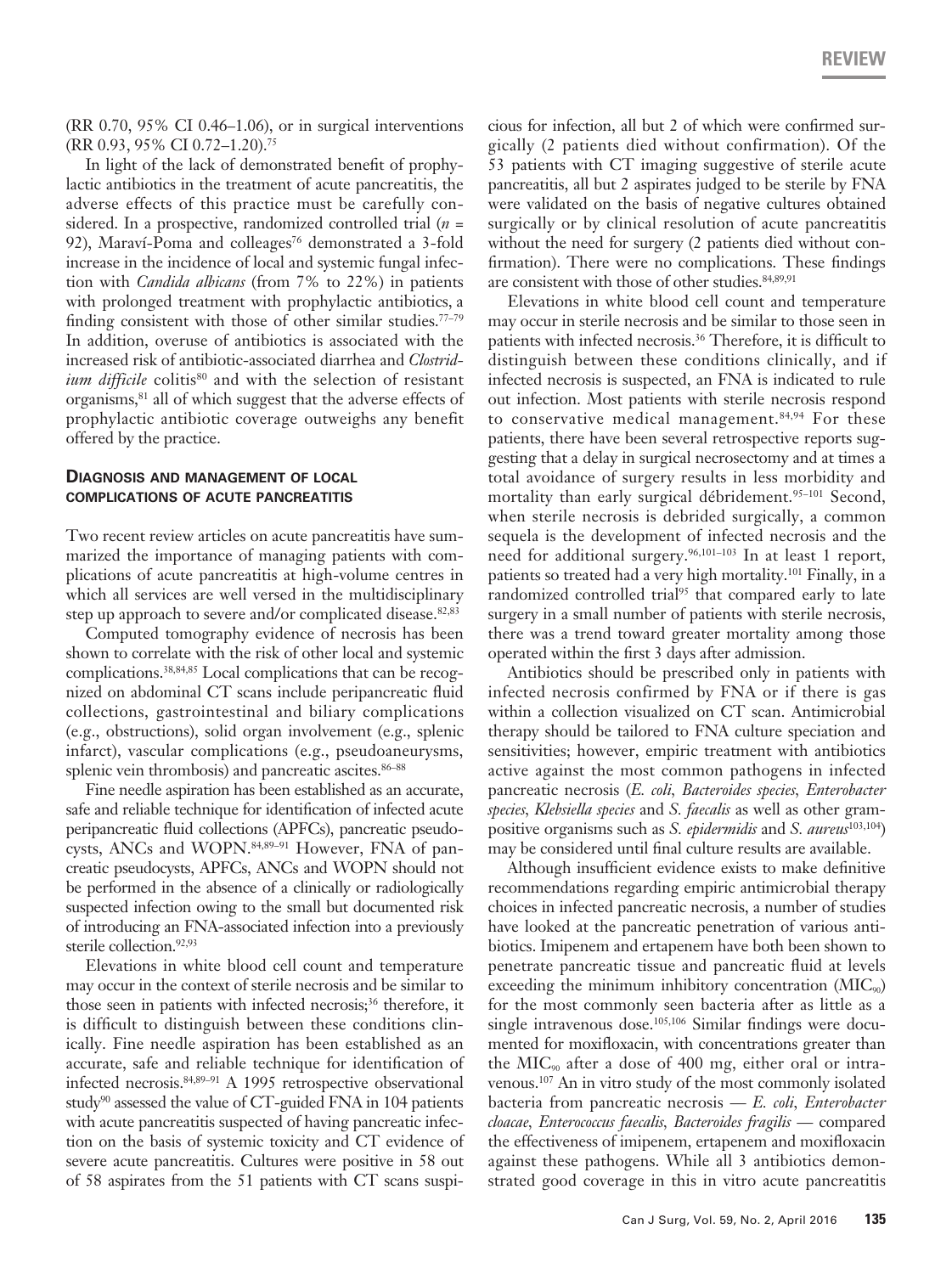(RR 0.70, 95% CI 0.46–1.06), or in surgical interventions (RR 0.93, 95% CI 0.72–1.20).75

In light of the lack of demonstrated benefit of prophylactic antibiotics in the treatment of acute pancreatitis, the adverse effects of this practice must be carefully considered. In a prospective, randomized controlled trial (*n* = 92), Maraví-Poma and colleages<sup>76</sup> demonstrated a 3-fold increase in the incidence of local and systemic fungal infection with *Candida albicans* (from 7% to 22%) in patients with prolonged treatment with prophylactic antibiotics, a finding consistent with those of other similar studies.77–79 In addition, overuse of antibiotics is associated with the increased risk of antibiotic-associated diarrhea and *Clostridium difficile* colitis<sup>80</sup> and with the selection of resistant organisms,<sup>81</sup> all of which suggest that the adverse effects of prophylactic antibiotic coverage outweighs any benefit offered by the practice.

### **Diagnosis and management of local complications of acute pancreatitis**

Two recent review articles on acute pancreatitis have summarized the importance of managing patients with complications of acute pancreatitis at high-volume centres in which all services are well versed in the multidisciplinary step up approach to severe and/or complicated disease.<sup>82,83</sup>

Computed tomography evidence of necrosis has been shown to correlate with the risk of other local and systemic complications.38,84,85 Local complications that can be recognized on abdominal CT scans include peripancreatic fluid collections, gastrointestinal and biliary complications (e.g., obstructions), solid organ involvement (e.g., splenic infarct), vascular complications (e.g., pseudoaneurysms, splenic vein thrombosis) and pancreatic ascites.<sup>86-88</sup>

Fine needle aspiration has been established as an accurate, safe and reliable technique for identification of infected acute peripancreatic fluid collections (APFCs), pancreatic pseudocysts, ANCs and WOPN.<sup>84,89-91</sup> However, FNA of pancreatic pseudocysts, APFCs, ANCs and WOPN should not be performed in the absence of a clinically or radiologically suspected infection owing to the small but documented risk of introducing an FNA-associated infection into a previously sterile collection.<sup>92,93</sup>

Elevations in white blood cell count and temperature may occur in the context of sterile necrosis and be similar to those seen in patients with infected necrosis;<sup>36</sup> therefore, it is difficult to distinguish between these conditions clinically. Fine needle aspiration has been established as an accurate, safe and reliable technique for identification of infected necrosis.84,89–91 A 1995 retrospective observational study<sup>90</sup> assessed the value of CT-guided FNA in 104 patients with acute pancreatitis suspected of having pancreatic infection on the basis of systemic toxicity and CT evidence of severe acute pancreatitis. Cultures were positive in 58 out of 58 aspirates from the 51 patients with CT scans suspicious for infection, all but 2 of which were confirmed surgically (2 patients died without confirmation). Of the 53 patients with CT imaging suggestive of sterile acute pancreatitis, all but 2 aspirates judged to be sterile by FNA were validated on the basis of negative cultures obtained surgically or by clinical resolution of acute pancreatitis without the need for surgery (2 patients died without confirmation). There were no complications. These findings are consistent with those of other studies. 84,89,91

Elevations in white blood cell count and temperature may occur in sterile necrosis and be similar to those seen in patients with infected necrosis.<sup>36</sup> Therefore, it is difficult to distinguish between these conditions clinically, and if infected necrosis is suspected, an FNA is indicated to rule out infection. Most patients with sterile necrosis respond to conservative medical management.<sup>84,94</sup> For these patients, there have been several retrospective reports suggesting that a delay in surgical necrosectomy and at times a total avoidance of surgery results in less morbidity and mortality than early surgical débridement.<sup>95-101</sup> Second, when sterile necrosis is debrided surgically, a common sequela is the development of infected necrosis and the need for additional surgery.96,101–103 In at least 1 report, patients so treated had a very high mortality.101 Finally, in a randomized controlled trial<sup>95</sup> that compared early to late surgery in a small number of patients with sterile necrosis, there was a trend toward greater mortality among those operated within the first 3 days after admission.

Antibiotics should be prescribed only in patients with infected necrosis confirmed by FNA or if there is gas within a collection visualized on CT scan. Antimicrobial therapy should be tailored to FNA culture speciation and sensitivities; however, empiric treatment with antibiotics active against the most common pathogens in infected pancreatic necrosis (*E. coli, Bacteroides species, Enterobacter species, Klebsiella species* and *S. faecalis* as well as other grampositive organisms such as *S. epidermidis* and *S. aureus*103,104) may be considered until final culture results are available.

Although insufficient evidence exists to make definitive recommendations regarding empiric antimicrobial therapy choices in infected pancreatic necrosis, a number of studies have looked at the pancreatic penetration of various antibiotics. Imipenem and ertapenem have both been shown to penetrate pancreatic tissue and pancreatic fluid at levels exceeding the minimum inhibitory concentration  $(MIC_{90})$ for the most commonly seen bacteria after as little as a single intravenous dose.<sup>105,106</sup> Similar findings were documented for moxifloxacin, with concentrations greater than the  $MIC<sub>90</sub>$  after a dose of 400 mg, either oral or intravenous.107 An in vitro study of the most commonly isolated bacteria from pancreatic necrosis — *E. coli, Enterobacter cloacae, Enterococcus faecalis, Bacteroides fragilis* — compared the effectiveness of imipenem, ertapenem and moxifloxacin against these pathogens. While all 3 antibiotics demonstrated good coverage in this in vitro acute pancreatitis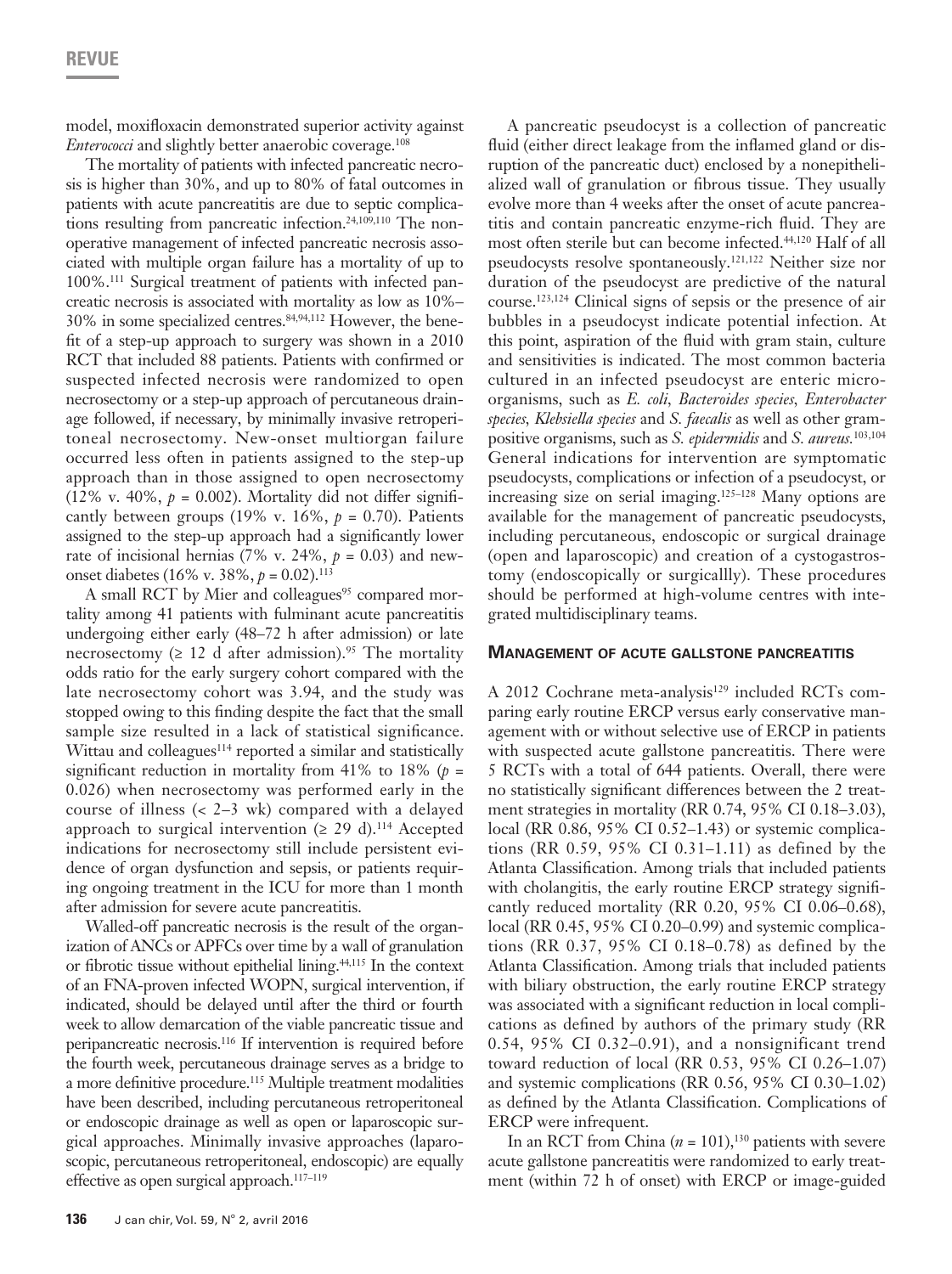model, moxifloxacin demonstrated superior activity against *Enterococci* and slightly better anaerobic coverage.108

The mortality of patients with infected pancreatic necrosis is higher than 30%, and up to 80% of fatal outcomes in patients with acute pancreatitis are due to septic complications resulting from pancreatic infection.<sup>24,109,110</sup> The nonoperative management of infected pancreatic necrosis associated with multiple organ failure has a mortality of up to 100%.111 Surgical treatment of patients with infected pancreatic necrosis is associated with mortality as low as 10%– 30% in some specialized centres.84,94,112 However, the benefit of a step-up approach to surgery was shown in a 2010 RCT that included 88 patients. Patients with confirmed or suspected infected necrosis were randomized to open necrosectomy or a step-up approach of percutaneous drainage followed, if necessary, by minimally invasive retroperitoneal necrosectomy. New-onset multiorgan failure occurred less often in patients assigned to the step-up approach than in those assigned to open necrosectomy (12% v. 40%,  $p = 0.002$ ). Mortality did not differ significantly between groups  $(19\% \text{ v. } 16\%, p = 0.70)$ . Patients assigned to the step-up approach had a significantly lower rate of incisional hernias (7% v. 24%,  $p = 0.03$ ) and newonset diabetes (16% v. 38%, *p* = 0.02).113

A small RCT by Mier and colleagues<sup>95</sup> compared mortality among 41 patients with fulminant acute pancreatitis undergoing either early (48–72 h after admission) or late necrosectomy ( $\geq 12$  d after admission).<sup>95</sup> The mortality odds ratio for the early surgery cohort compared with the late necrosectomy cohort was 3.94, and the study was stopped owing to this finding despite the fact that the small sample size resulted in a lack of statistical significance. Wittau and colleagues<sup>114</sup> reported a similar and statistically significant reduction in mortality from 41% to 18% ( $p =$ 0.026) when necrosectomy was performed early in the course of illness (< 2–3 wk) compared with a delayed approach to surgical intervention ( $\geq$  29 d).<sup>114</sup> Accepted indications for necrosectomy still include persistent evidence of organ dysfunction and sepsis, or patients requiring ongoing treatment in the ICU for more than 1 month after admission for severe acute pancreatitis.

Walled-off pancreatic necrosis is the result of the organization of ANCs or APFCs over time by a wall of granulation or fibrotic tissue without epithelial lining.44,115 In the context of an FNA-proven infected WOPN, surgical intervention, if indicated, should be delayed until after the third or fourth week to allow demarcation of the viable pancreatic tissue and peripancreatic necrosis.116 If intervention is required before the fourth week, percutaneous drainage serves as a bridge to a more definitive procedure.<sup>115</sup> Multiple treatment modalities have been described, including percutaneous retroperitoneal or endoscopic drainage as well as open or laparoscopic surgical approaches. Minimally invasive approaches (laparoscopic, percutaneous retroperitoneal, endoscopic) are equally effective as open surgical approach.117–119

A pancreatic pseudocyst is a collection of pancreatic fluid (either direct leakage from the inflamed gland or disruption of the pancreatic duct) enclosed by a nonepithelialized wall of granulation or fibrous tissue. They usually evolve more than 4 weeks after the onset of acute pancreatitis and contain pancreatic enzyme-rich fluid. They are most often sterile but can become infected.44,120 Half of all pseudocysts resolve spontaneously.121,122 Neither size nor duration of the pseudocyst are predictive of the natural course.123,124 Clinical signs of sepsis or the presence of air bubbles in a pseudocyst indicate potential infection. At this point, aspiration of the fluid with gram stain, culture and sensitivities is indicated. The most common bacteria cultured in an infected pseudocyst are enteric microorganisms, such as *E. coli, Bacteroides species, Enterobacter species, Klebsiella species* and *S. faecalis* as well as other grampositive organisms, such as *S. epidermidis* and *S. aureus.*103,104 General indications for intervention are symptomatic pseudocysts, complications or infection of a pseudocyst, or increasing size on serial imaging.125–128 Many options are available for the management of pancreatic pseudocysts, including percutaneous, endoscopic or surgical drainage (open and laparoscopic) and creation of a cystogastrostomy (endoscopically or surgicallly). These procedures should be performed at high-volume centres with integrated multidisciplinary teams.

### **Management of acute gallstone pancreatitis**

A 2012 Cochrane meta-analysis<sup>129</sup> included RCTs comparing early routine ERCP versus early conservative management with or without selective use of ERCP in patients with suspected acute gallstone pancreatitis. There were 5 RCTs with a total of 644 patients. Overall, there were no statistically significant differences between the 2 treatment strategies in mortality (RR 0.74, 95% CI 0.18–3.03), local (RR 0.86, 95% CI 0.52–1.43) or systemic complications (RR 0.59, 95% CI 0.31–1.11) as defined by the Atlanta Classification. Among trials that included patients with cholangitis, the early routine ERCP strategy significantly reduced mortality (RR 0.20, 95% CI 0.06–0.68), local (RR 0.45, 95% CI 0.20–0.99) and systemic complications (RR 0.37, 95% CI 0.18–0.78) as defined by the Atlanta Classification. Among trials that included patients with biliary obstruction, the early routine ERCP strategy was associated with a significant reduction in local complications as defined by authors of the primary study (RR 0.54, 95% CI 0.32–0.91), and a nonsignificant trend toward reduction of local (RR 0.53, 95% CI 0.26–1.07) and systemic complications (RR 0.56, 95% CI 0.30–1.02) as defined by the Atlanta Classification. Complications of ERCP were infrequent.

In an RCT from China  $(n = 101)$ ,<sup>130</sup> patients with severe acute gallstone pancreatitis were randomized to early treatment (within 72 h of onset) with ERCP or image-guided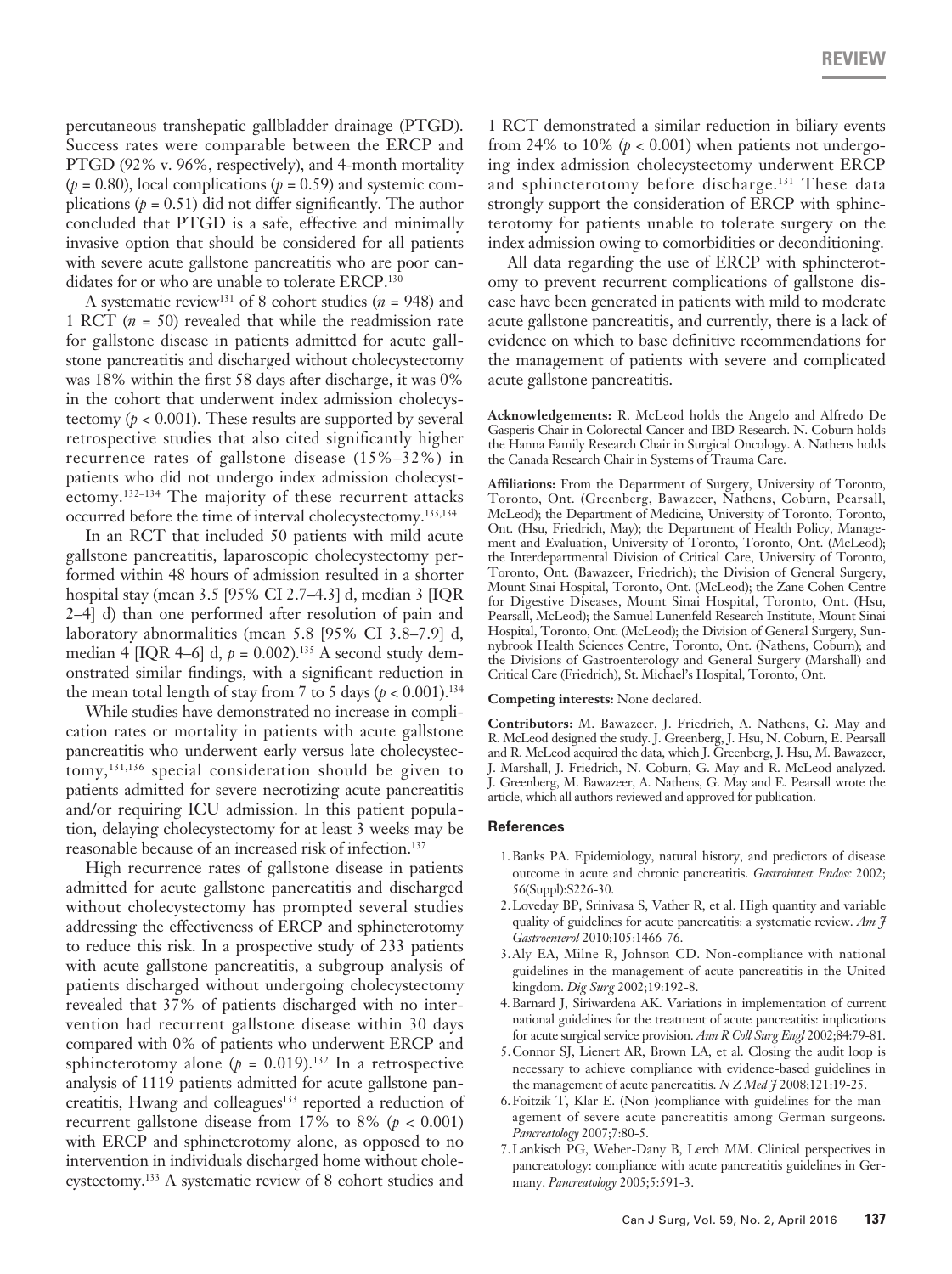percutaneous transhepatic gallbladder drainage (PTGD). Success rates were comparable between the ERCP and PTGD (92% v. 96%, respectively), and 4-month mortality  $(p = 0.80)$ , local complications  $(p = 0.59)$  and systemic complications  $(p = 0.51)$  did not differ significantly. The author concluded that PTGD is a safe, effective and minimally invasive option that should be considered for all patients with severe acute gallstone pancreatitis who are poor candidates for or who are unable to tolerate ERCP.<sup>130</sup>

A systematic review<sup>131</sup> of 8 cohort studies ( $n = 948$ ) and 1 RCT (*n* = 50) revealed that while the readmission rate for gallstone disease in patients admitted for acute gallstone pancreatitis and discharged without cholecystectomy was 18% within the first 58 days after discharge, it was 0% in the cohort that underwent index admission cholecystectomy ( $p < 0.001$ ). These results are supported by several retrospective studies that also cited significantly higher recurrence rates of gallstone disease (15%–32%) in patients who did not undergo index admission cholecystectomy.132–134 The majority of these recurrent attacks occurred before the time of interval cholecystectomy.133,134

In an RCT that included 50 patients with mild acute gallstone pancreatitis, laparoscopic cholecystectomy performed within 48 hours of admission resulted in a shorter hospital stay (mean 3.5 [95% CI 2.7–4.3] d, median 3 [IQR 2–4] d) than one performed after resolution of pain and laboratory abnormalities (mean 5.8 [95% CI 3.8–7.9] d, median 4  $[IQR 4–6]$  d,  $p = 0.002$ ).<sup>135</sup> A second study demonstrated similar findings, with a significant reduction in the mean total length of stay from 7 to 5 days  $(p < 0.001).$ <sup>134</sup>

While studies have demonstrated no increase in complication rates or mortality in patients with acute gallstone pancreatitis who underwent early versus late cholecystectomy,131,136 special consideration should be given to patients admitted for severe necrotizing acute pancreatitis and/or requiring ICU admission. In this patient population, delaying cholecystectomy for at least 3 weeks may be reasonable because of an increased risk of infection.137

High recurrence rates of gallstone disease in patients admitted for acute gallstone pancreatitis and discharged without cholecystectomy has prompted several studies addressing the effectiveness of ERCP and sphincterotomy to reduce this risk. In a prospective study of 233 patients with acute gallstone pancreatitis, a subgroup analysis of patients discharged without undergoing cholecystectomy revealed that 37% of patients discharged with no intervention had recurrent gallstone disease within 30 days compared with 0% of patients who underwent ERCP and sphincterotomy alone  $(p = 0.019)$ .<sup>132</sup> In a retrospective analysis of 1119 patients admitted for acute gallstone pancreatitis, Hwang and colleagues<sup>133</sup> reported a reduction of recurrent gallstone disease from 17% to 8% ( $p < 0.001$ ) with ERCP and sphincterotomy alone, as opposed to no intervention in individuals discharged home without cholecystectomy.133 A systematic review of 8 cohort studies and

1 RCT demonstrated a similar reduction in biliary events from 24% to 10%  $(p < 0.001)$  when patients not undergoing index admission cholecystectomy underwent ERCP and sphincterotomy before discharge.<sup>131</sup> These data strongly support the consideration of ERCP with sphincterotomy for patients unable to tolerate surgery on the index admission owing to comorbidities or deconditioning.

All data regarding the use of ERCP with sphincterotomy to prevent recurrent complications of gallstone disease have been generated in patients with mild to moderate acute gallstone pancreatitis, and currently, there is a lack of evidence on which to base definitive recommendations for the management of patients with severe and complicated acute gallstone pancreatitis.

**Acknowledgements:** R. McLeod holds the Angelo and Alfredo De Gasperis Chair in Colorectal Cancer and IBD Research. N. Coburn holds the Hanna Family Research Chair in Surgical Oncology. A. Nathens holds the Canada Research Chair in Systems of Trauma Care.

**Affiliations:** From the Department of Surgery, University of Toronto, Toronto, Ont. (Greenberg, Bawazeer, Nathens, Coburn, Pearsall, McLeod); the Department of Medicine, University of Toronto, Toronto, Ont. (Hsu, Friedrich, May); the Department of Health Policy, Management and Evaluation, University of Toronto, Toronto, Ont. (McLeod); the Interdepartmental Division of Critical Care, University of Toronto, Toronto, Ont. (Bawazeer, Friedrich); the Division of General Surgery, Mount Sinai Hospital, Toronto, Ont. (McLeod); the Zane Cohen Centre for Digestive Diseases, Mount Sinai Hospital, Toronto, Ont. (Hsu, Pearsall, McLeod); the Samuel Lunenfeld Research Institute, Mount Sinai Hospital, Toronto, Ont. (McLeod); the Division of General Surgery, Sunnybrook Health Sciences Centre, Toronto, Ont. (Nathens, Coburn); and the Divisions of Gastroenterology and General Surgery (Marshall) and Critical Care (Friedrich), St. Michael's Hospital, Toronto, Ont.

#### **Competing interests:** None declared.

**Contributors:** M. Bawazeer, J. Friedrich, A. Nathens, G. May and R. McLeod designed the study. J. Greenberg, J. Hsu, N. Coburn, E. Pearsall and R. McLeod acquired the data, which J. Greenberg, J. Hsu, M. Bawazeer, J. Marshall, J. Friedrich, N. Coburn, G. May and R. McLeod analyzed. J. Greenberg, M. Bawazeer, A. Nathens, G. May and E. Pearsall wrote the article, which all authors reviewed and approved for publication.

#### **References**

- 1.Banks PA. Epidemiology, natural history, and predictors of disease outcome in acute and chronic pancreatitis. *Gastrointest Endosc* 2002; 56(Suppl):S226-30.
- 2.Loveday BP, Srinivasa S, Vather R, et al. High quantity and variable quality of guidelines for acute pancreatitis: a systematic review. *Am J Gastroenterol* 2010;105:1466-76.
- 3.Aly EA, Milne R, Johnson CD. Non-compliance with national guidelines in the management of acute pancreatitis in the United kingdom. *Dig Surg* 2002;19:192-8.
- 4. Barnard J, Siriwardena AK. Variations in implementation of current national guidelines for the treatment of acute pancreatitis: implications for acute surgical service provision. *Ann R Coll Surg Engl* 2002;84:79-81.
- 5.Connor SJ, Lienert AR, Brown LA, et al. Closing the audit loop is necessary to achieve compliance with evidence-based guidelines in the management of acute pancreatitis. *N Z Med J* 2008;121:19-25.
- 6.Foitzik T, Klar E. (Non-)compliance with guidelines for the management of severe acute pancreatitis among German surgeons. *Pancreatology* 2007;7:80-5.
- 7.Lankisch PG, Weber-Dany B, Lerch MM. Clinical perspectives in pancreatology: compliance with acute pancreatitis guidelines in Germany. *Pancreatology* 2005;5:591-3.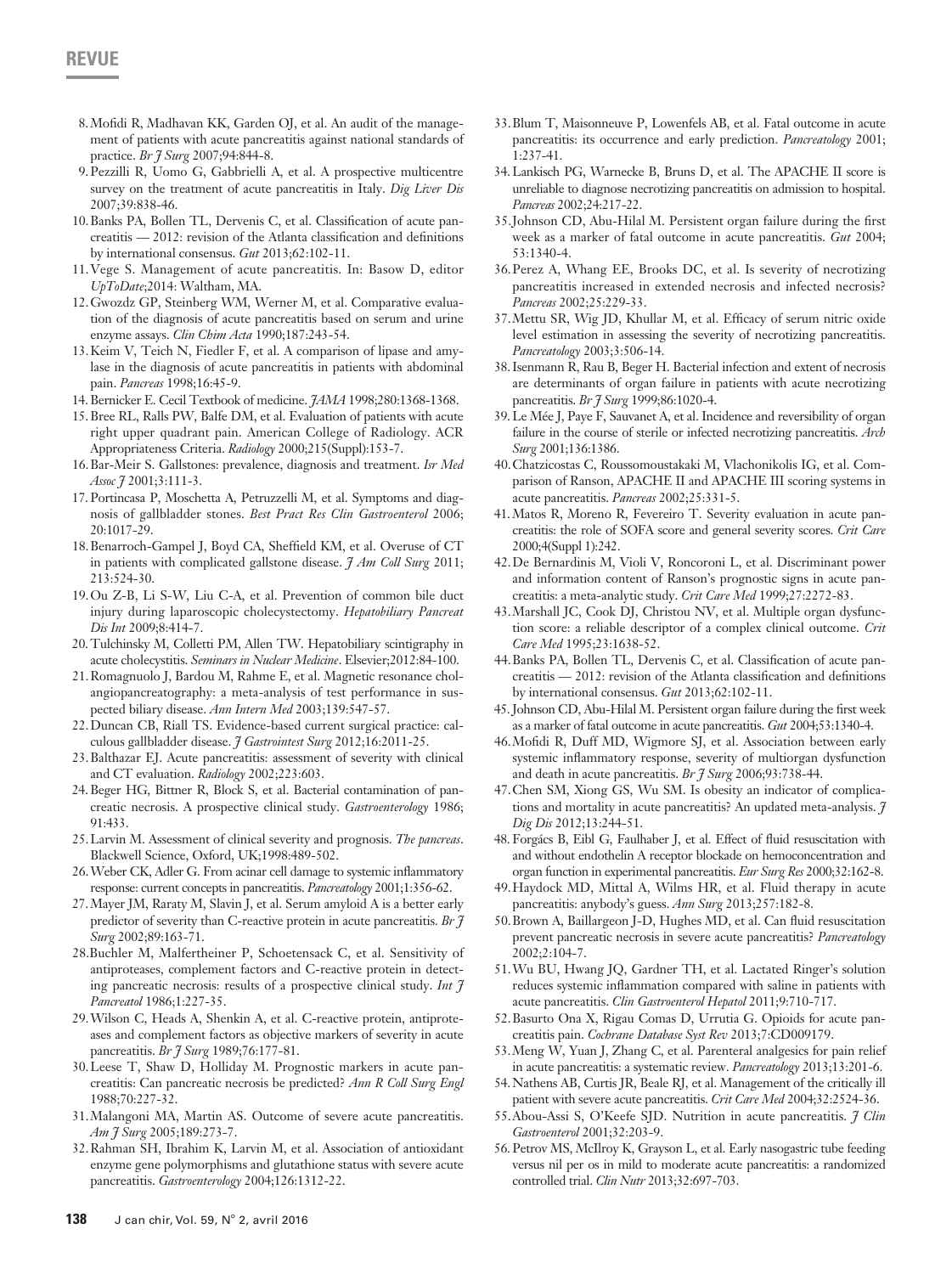- 8.Mofidi R, Madhavan KK, Garden OJ, et al. An audit of the management of patients with acute pancreatitis against national standards of practice. *Br J Surg* 2007;94:844-8.
- 9.Pezzilli R, Uomo G, Gabbrielli A, et al. A prospective multicentre survey on the treatment of acute pancreatitis in Italy. *Dig Liver Dis* 2007;39:838-46.
- 10.Banks PA, Bollen TL, Dervenis C, et al. Classification of acute pancreatitis — 2012: revision of the Atlanta classification and definitions by international consensus. *Gut* 2013;62:102-11.
- 11.Vege S. Management of acute pancreatitis. In: Basow D, editor *UpToDate*;2014: Waltham, MA.
- 12.Gwozdz GP, Steinberg WM, Werner M, et al. Comparative evaluation of the diagnosis of acute pancreatitis based on serum and urine enzyme assays. *Clin Chim Acta* 1990;187:243-54.
- 13.Keim V, Teich N, Fiedler F, et al. A comparison of lipase and amylase in the diagnosis of acute pancreatitis in patients with abdominal pain. *Pancreas* 1998;16:45-9.
- 14.Bernicker E. Cecil Textbook of medicine. *JAMA* 1998;280:1368-1368.
- 15.Bree RL, Ralls PW, Balfe DM, et al. Evaluation of patients with acute right upper quadrant pain. American College of Radiology. ACR Appropriateness Criteria. *Radiology* 2000;215(Suppl):153-7.
- 16.Bar-Meir S. Gallstones: prevalence, diagnosis and treatment. *Isr Med Assoc J* 2001;3:111-3.
- 17.Portincasa P, Moschetta A, Petruzzelli M, et al. Symptoms and diagnosis of gallbladder stones. *Best Pract Res Clin Gastroenterol* 2006; 20:1017-29.
- 18.Benarroch-Gampel J, Boyd CA, Sheffield KM, et al. Overuse of CT in patients with complicated gallstone disease. *J Am Coll Surg* 2011; 213:524-30.
- 19.Ou Z-B, Li S-W, Liu C-A, et al. Prevention of common bile duct injury during laparoscopic cholecystectomy. *Hepatobiliary Pancreat Dis Int* 2009;8:414-7.
- 20.Tulchinsky M, Colletti PM, Allen TW. Hepatobiliary scintigraphy in acute cholecystitis. *Seminars in Nuclear Medicine*. Elsevier;2012:84-100.
- 21.Romagnuolo J, Bardou M, Rahme E, et al. Magnetic resonance cholangiopancreatography: a meta-analysis of test performance in suspected biliary disease. *Ann Intern Med* 2003;139:547-57.
- 22.Duncan CB, Riall TS. Evidence-based current surgical practice: calculous gallbladder disease. *J Gastrointest Surg* 2012;16:2011-25.
- 23.Balthazar EJ. Acute pancreatitis: assessment of severity with clinical and CT evaluation. *Radiology* 2002;223:603.
- 24.Beger HG, Bittner R, Block S, et al. Bacterial contamination of pancreatic necrosis. A prospective clinical study. *Gastroenterology* 1986; 91:433.
- 25.Larvin M. Assessment of clinical severity and prognosis. *The pancreas*. Blackwell Science, Oxford, UK;1998:489-502.
- 26.Weber CK, Adler G. From acinar cell damage to systemic inflammatory response: current concepts in pancreatitis. *Pancreatology* 2001;1:356-62.
- 27.Mayer JM, Raraty M, Slavin J, et al. Serum amyloid A is a better early predictor of severity than C‐reactive protein in acute pancreatitis. *Br J Surg* 2002;89:163-71.
- 28.Buchler M, Malfertheiner P, Schoetensack C, et al. Sensitivity of antiproteases, complement factors and C-reactive protein in detecting pancreatic necrosis: results of a prospective clinical study. *Int J Pancreatol* 1986;1:227-35.
- 29.Wilson C, Heads A, Shenkin A, et al. C-reactive protein, antiproteases and complement factors as objective markers of severity in acute pancreatitis. *Br J Surg* 1989;76:177-81.
- 30.Leese T, Shaw D, Holliday M. Prognostic markers in acute pancreatitis: Can pancreatic necrosis be predicted? *Ann R Coll Surg Engl* 1988;70:227-32.
- 31.Malangoni MA, Martin AS. Outcome of severe acute pancreatitis. *Am J Surg* 2005;189:273-7.
- 32.Rahman SH, Ibrahim K, Larvin M, et al. Association of antioxidant enzyme gene polymorphisms and glutathione status with severe acute pancreatitis. *Gastroenterology* 2004;126:1312-22.
- 33.Blum T, Maisonneuve P, Lowenfels AB, et al. Fatal outcome in acute pancreatitis: its occurrence and early prediction. *Pancreatology* 2001; 1:237-41.
- 34.Lankisch PG, Warnecke B, Bruns D, et al. The APACHE II score is unreliable to diagnose necrotizing pancreatitis on admission to hospital. *Pancreas* 2002;24:217-22.
- 35.Johnson CD, Abu-Hilal M. Persistent organ failure during the first week as a marker of fatal outcome in acute pancreatitis. *Gut* 2004; 53:1340-4.
- 36.Perez A, Whang EE, Brooks DC, et al. Is severity of necrotizing pancreatitis increased in extended necrosis and infected necrosis? *Pancreas* 2002;25:229-33.
- 37.Mettu SR, Wig JD, Khullar M, et al. Efficacy of serum nitric oxide level estimation in assessing the severity of necrotizing pancreatitis. *Pancreatology* 2003;3:506-14.
- 38.Isenmann R, Rau B, Beger H. Bacterial infection and extent of necrosis are determinants of organ failure in patients with acute necrotizing pancreatitis. *Br J Surg* 1999;86:1020-4.
- 39.Le Mée J, Paye F, Sauvanet A, et al. Incidence and reversibility of organ failure in the course of sterile or infected necrotizing pancreatitis. *Arch Surg* 2001;136:1386.
- 40.Chatzicostas C, Roussomoustakaki M, Vlachonikolis IG, et al. Comparison of Ranson, APACHE II and APACHE III scoring systems in acute pancreatitis. *Pancreas* 2002;25:331-5.
- 41.Matos R, Moreno R, Fevereiro T. Severity evaluation in acute pancreatitis: the role of SOFA score and general severity scores. *Crit Care* 2000;4(Suppl 1):242.
- 42.De Bernardinis M, Violi V, Roncoroni L, et al. Discriminant power and information content of Ranson's prognostic signs in acute pancreatitis: a meta-analytic study. *Crit Care Med* 1999;27:2272-83.
- 43.Marshall JC, Cook DJ, Christou NV, et al. Multiple organ dysfunction score: a reliable descriptor of a complex clinical outcome. *Crit Care Med* 1995;23:1638-52.
- 44.Banks PA, Bollen TL, Dervenis C, et al. Classification of acute pancreatitis — 2012: revision of the Atlanta classification and definitions by international consensus. *Gut* 2013;62:102-11.
- 45.Johnson CD, Abu-Hilal M. Persistent organ failure during the first week as a marker of fatal outcome in acute pancreatitis. *Gut* 2004;53:1340-4.
- 46.Mofidi R, Duff MD, Wigmore SJ, et al. Association between early systemic inflammatory response, severity of multiorgan dysfunction and death in acute pancreatitis. *Br J Surg* 2006;93:738-44.
- 47.Chen SM, Xiong GS, Wu SM. Is obesity an indicator of complications and mortality in acute pancreatitis? An updated meta-analysis. *J Dig Dis* 2012;13:244-51.
- 48. Forgács B, Eibl G, Faulhaber J, et al. Effect of fluid resuscitation with and without endothelin A receptor blockade on hemoconcentration and organ function in experimental pancreatitis. *Eur Surg Res* 2000;32:162-8.
- 49.Haydock MD, Mittal A, Wilms HR, et al. Fluid therapy in acute pancreatitis: anybody's guess. *Ann Surg* 2013;257:182-8.
- 50.Brown A, Baillargeon J-D, Hughes MD, et al. Can fluid resuscitation prevent pancreatic necrosis in severe acute pancreatitis? *Pancreatology* 2002;2:104-7.
- 51.Wu BU, Hwang JQ, Gardner TH, et al. Lactated Ringer's solution reduces systemic inflammation compared with saline in patients with acute pancreatitis. *Clin Gastroenterol Hepatol* 2011;9:710-717.
- 52.Basurto Ona X, Rigau Comas D, Urrutia G. Opioids for acute pancreatitis pain. *Cochrane Database Syst Rev* 2013;7:CD009179.
- 53.Meng W, Yuan J, Zhang C, et al. Parenteral analgesics for pain relief in acute pancreatitis: a systematic review. *Pancreatology* 2013;13:201-6.
- 54.Nathens AB, Curtis JR, Beale RJ, et al. Management of the critically ill patient with severe acute pancreatitis. *Crit Care Med* 2004;32:2524-36.
- 55.Abou-Assi S, O'Keefe SJD. Nutrition in acute pancreatitis. *J Clin Gastroenterol* 2001;32:203-9.
- 56.Petrov MS, McIlroy K, Grayson L, et al. Early nasogastric tube feeding versus nil per os in mild to moderate acute pancreatitis: a randomized controlled trial. *Clin Nutr* 2013;32:697-703.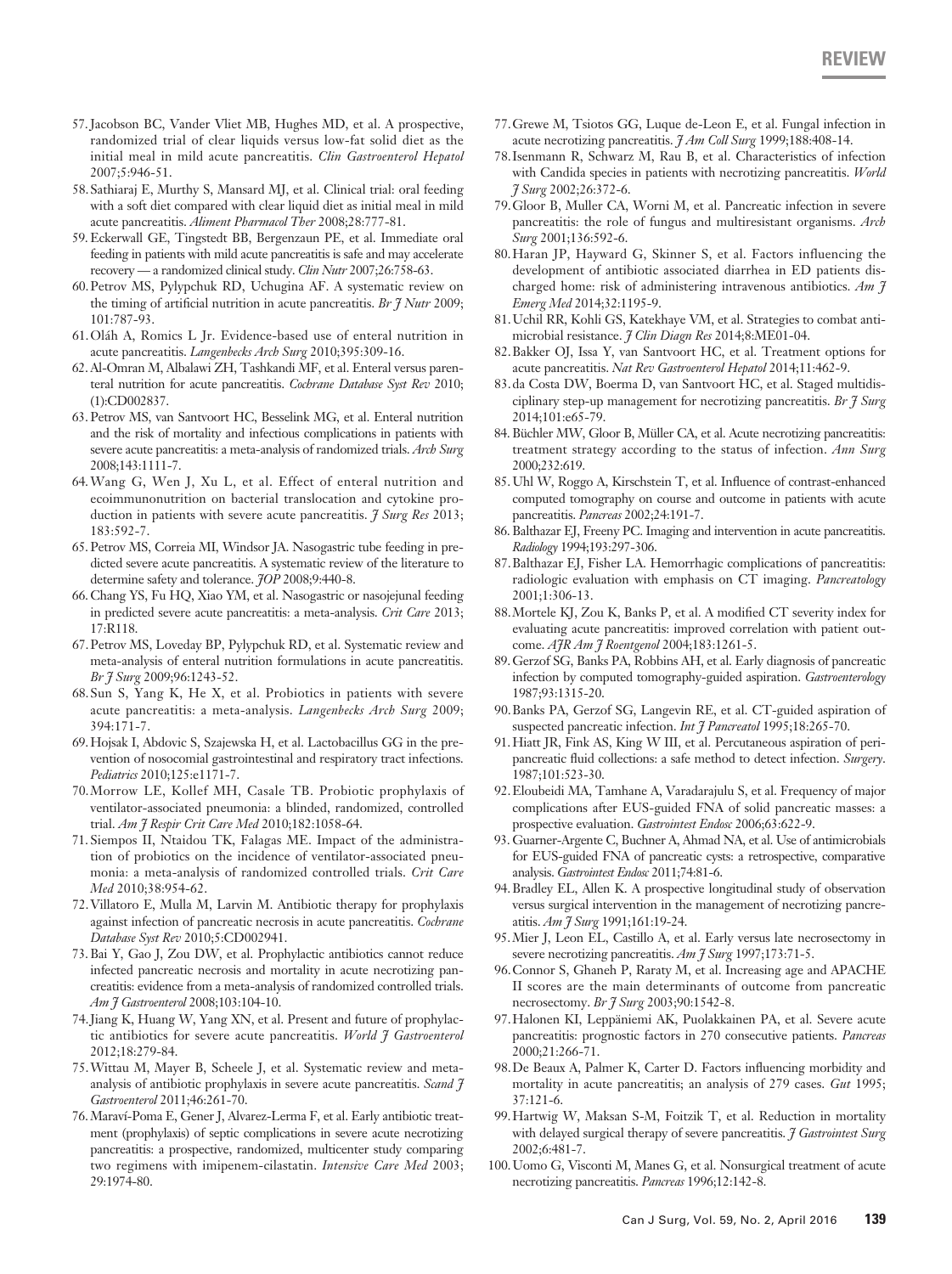- 57.Jacobson BC, Vander Vliet MB, Hughes MD, et al. A prospective, randomized trial of clear liquids versus low-fat solid diet as the initial meal in mild acute pancreatitis. *Clin Gastroenterol Hepatol* 2007;5:946-51.
- 58.Sathiaraj E, Murthy S, Mansard MJ, et al. Clinical trial: oral feeding with a soft diet compared with clear liquid diet as initial meal in mild acute pancreatitis. *Aliment Pharmacol Ther* 2008;28:777-81.
- 59.Eckerwall GE, Tingstedt BB, Bergenzaun PE, et al. Immediate oral feeding in patients with mild acute pancreatitis is safe and may accelerate recovery — a randomized clinical study. *Clin Nutr* 2007;26:758-63.
- 60.Petrov MS, Pylypchuk RD, Uchugina AF. A systematic review on the timing of artificial nutrition in acute pancreatitis. *Br J Nutr* 2009; 101:787-93.
- 61.Oláh A, Romics L Jr. Evidence-based use of enteral nutrition in acute pancreatitis. *Langenbecks Arch Surg* 2010;395:309-16.
- 62.Al-Omran M, Albalawi ZH, Tashkandi MF, et al. Enteral versus parenteral nutrition for acute pancreatitis. *Cochrane Database Syst Rev* 2010; (1):CD002837.
- 63.Petrov MS, van Santvoort HC, Besselink MG, et al. Enteral nutrition and the risk of mortality and infectious complications in patients with severe acute pancreatitis: a meta-analysis of randomized trials. *Arch Surg* 2008;143:1111-7.
- 64.Wang G, Wen J, Xu L, et al. Effect of enteral nutrition and ecoimmunonutrition on bacterial translocation and cytokine production in patients with severe acute pancreatitis. *J Surg Res* 2013; 183:592-7.
- 65.Petrov MS, Correia MI, Windsor JA. Nasogastric tube feeding in predicted severe acute pancreatitis. A systematic review of the literature to determine safety and tolerance. *JOP* 2008;9:440-8.
- 66.Chang YS, Fu HQ, Xiao YM, et al. Nasogastric or nasojejunal feeding in predicted severe acute pancreatitis: a meta-analysis. *Crit Care* 2013; 17:R118.
- 67.Petrov MS, Loveday BP, Pylypchuk RD, et al. Systematic review and meta-analysis of enteral nutrition formulations in acute pancreatitis. *Br J Surg* 2009;96:1243-52.
- 68.Sun S, Yang K, He X, et al. Probiotics in patients with severe acute pancreatitis: a meta-analysis. *Langenbecks Arch Surg* 2009; 394:171-7.
- 69.Hojsak I, Abdovic S, Szajewska H, et al. Lactobacillus GG in the prevention of nosocomial gastrointestinal and respiratory tract infections. *Pediatrics* 2010;125:e1171-7.
- 70.Morrow LE, Kollef MH, Casale TB. Probiotic prophylaxis of ventilator-associated pneumonia: a blinded, randomized, controlled trial. *Am J Respir Crit Care Med* 2010;182:1058-64.
- 71. Siempos II, Ntaidou TK, Falagas ME. Impact of the administration of probiotics on the incidence of ventilator-associated pneumonia: a meta-analysis of randomized controlled trials. *Crit Care Med* 2010;38:954-62.
- 72.Villatoro E, Mulla M, Larvin M. Antibiotic therapy for prophylaxis against infection of pancreatic necrosis in acute pancreatitis. *Cochrane Database Syst Rev* 2010;5:CD002941.
- 73.Bai Y, Gao J, Zou DW, et al. Prophylactic antibiotics cannot reduce infected pancreatic necrosis and mortality in acute necrotizing pancreatitis: evidence from a meta-analysis of randomized controlled trials. *Am J Gastroenterol* 2008;103:104-10.
- 74.Jiang K, Huang W, Yang XN, et al. Present and future of prophylactic antibiotics for severe acute pancreatitis. *World J Gastroenterol* 2012;18:279-84.
- 75.Wittau M, Mayer B, Scheele J, et al. Systematic review and metaanalysis of antibiotic prophylaxis in severe acute pancreatitis. *Scand J Gastroenterol* 2011;46:261-70.
- 76.Maraví-Poma E, Gener J, Alvarez-Lerma F, et al. Early antibiotic treatment (prophylaxis) of septic complications in severe acute necrotizing pancreatitis: a prospective, randomized, multicenter study comparing two regimens with imipenem-cilastatin. *Intensive Care Med* 2003; 29:1974-80.
- 77.Grewe M, Tsiotos GG, Luque de-Leon E, et al. Fungal infection in acute necrotizing pancreatitis. *J Am Coll Surg* 1999;188:408-14.
- 78.Isenmann R, Schwarz M, Rau B, et al. Characteristics of infection with Candida species in patients with necrotizing pancreatitis. *World J Surg* 2002;26:372-6.
- 79.Gloor B, Muller CA, Worni M, et al. Pancreatic infection in severe pancreatitis: the role of fungus and multiresistant organisms. *Arch Surg* 2001;136:592-6.
- 80.Haran JP, Hayward G, Skinner S, et al. Factors influencing the development of antibiotic associated diarrhea in ED patients discharged home: risk of administering intravenous antibiotics. *Am J Emerg Med* 2014;32:1195-9.
- 81.Uchil RR, Kohli GS, Katekhaye VM, et al. Strategies to combat antimicrobial resistance. *J Clin Diagn Res* 2014;8:ME01-04.
- 82.Bakker OJ, Issa Y, van Santvoort HC, et al. Treatment options for acute pancreatitis. *Nat Rev Gastroenterol Hepatol* 2014;11:462-9.
- 83.da Costa DW, Boerma D, van Santvoort HC, et al. Staged multidisciplinary step-up management for necrotizing pancreatitis. *Br J Surg* 2014;101:e65-79.
- 84. Büchler MW, Gloor B, Müller CA, et al. Acute necrotizing pancreatitis: treatment strategy according to the status of infection. *Ann Surg* 2000;232:619.
- 85.Uhl W, Roggo A, Kirschstein T, et al. Influence of contrast-enhanced computed tomography on course and outcome in patients with acute pancreatitis. *Pancreas* 2002;24:191-7.
- 86. Balthazar EJ, Freeny PC. Imaging and intervention in acute pancreatitis. *Radiology* 1994;193:297-306.
- 87.Balthazar EJ, Fisher LA. Hemorrhagic complications of pancreatitis: radiologic evaluation with emphasis on CT imaging. *Pancreatology* 2001;1:306-13.
- 88.Mortele KJ, Zou K, Banks P, et al. A modified CT severity index for evaluating acute pancreatitis: improved correlation with patient outcome. *AJR Am J Roentgenol* 2004;183:1261-5.
- 89.Gerzof SG, Banks PA, Robbins AH, et al. Early diagnosis of pancreatic infection by computed tomography-guided aspiration. *Gastroenterology* 1987;93:1315-20.
- 90.Banks PA, Gerzof SG, Langevin RE, et al. CT-guided aspiration of suspected pancreatic infection. *Int J Pancreatol* 1995;18:265-70.
- 91.Hiatt JR, Fink AS, King W III, et al. Percutaneous aspiration of peripancreatic fluid collections: a safe method to detect infection. *Surgery*. 1987;101:523-30.
- 92.Eloubeidi MA, Tamhane A, Varadarajulu S, et al. Frequency of major complications after EUS-guided FNA of solid pancreatic masses: a prospective evaluation. *Gastrointest Endosc* 2006;63:622-9.
- 93. Guarner-Argente C, Buchner A, Ahmad NA, et al. Use of antimicrobials for EUS-guided FNA of pancreatic cysts: a retrospective, comparative analysis. *Gastrointest Endosc* 2011;74:81-6.
- 94.Bradley EL, Allen K. A prospective longitudinal study of observation versus surgical intervention in the management of necrotizing pancreatitis. *Am J Surg* 1991;161:19-24.
- 95.Mier J, Leon EL, Castillo A, et al. Early versus late necrosectomy in severe necrotizing pancreatitis. *Am J Surg* 1997;173:71-5.
- 96.Connor S, Ghaneh P, Raraty M, et al. Increasing age and APACHE II scores are the main determinants of outcome from pancreatic necrosectomy. *Br J Surg* 2003;90:1542-8.
- 97.Halonen KI, Leppäniemi AK, Puolakkainen PA, et al. Severe acute pancreatitis: prognostic factors in 270 consecutive patients. *Pancreas* 2000;21:266-71.
- 98.De Beaux A, Palmer K, Carter D. Factors influencing morbidity and mortality in acute pancreatitis; an analysis of 279 cases. *Gut* 1995; 37:121-6.
- 99.Hartwig W, Maksan S-M, Foitzik T, et al. Reduction in mortality with delayed surgical therapy of severe pancreatitis. *J Gastrointest Surg* 2002;6:481-7.
- 100.Uomo G, Visconti M, Manes G, et al. Nonsurgical treatment of acute necrotizing pancreatitis. *Pancreas* 1996;12:142-8.